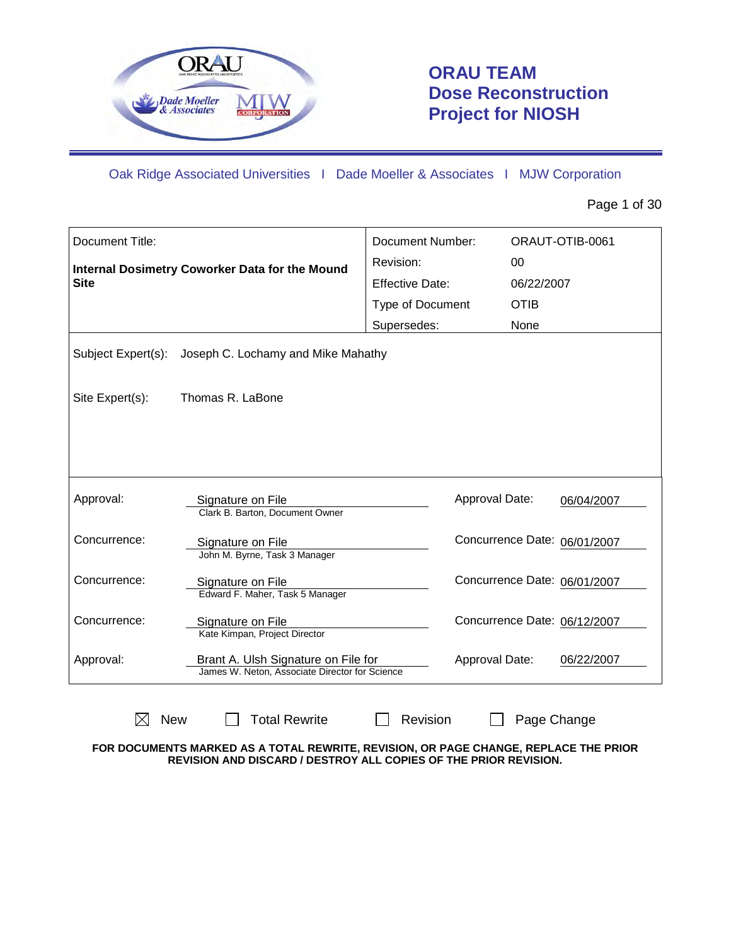

## **ORAU TEAM Dose Reconstruction Project for NIOSH**

Oak Ridge Associated Universities I Dade Moeller & Associates I MJW Corporation

Page 1 of 30

| Document Title:    |                                                                                       | Document Number:       |             | ORAUT-OTIB-0061              |
|--------------------|---------------------------------------------------------------------------------------|------------------------|-------------|------------------------------|
|                    | Internal Dosimetry Coworker Data for the Mound                                        | Revision:              | 00          |                              |
| <b>Site</b>        |                                                                                       | <b>Effective Date:</b> | 06/22/2007  |                              |
|                    |                                                                                       | Type of Document       | <b>OTIB</b> |                              |
|                    |                                                                                       | Supersedes:            | None        |                              |
| Subject Expert(s): | Joseph C. Lochamy and Mike Mahathy                                                    |                        |             |                              |
| Site Expert(s):    | Thomas R. LaBone                                                                      |                        |             |                              |
|                    |                                                                                       |                        |             |                              |
|                    |                                                                                       |                        |             |                              |
|                    |                                                                                       |                        |             |                              |
| Approval:          | Signature on File                                                                     | Approval Date:         |             | 06/04/2007                   |
|                    | Clark B. Barton, Document Owner                                                       |                        |             |                              |
| Concurrence:       | Signature on File                                                                     |                        |             | Concurrence Date: 06/01/2007 |
|                    | John M. Byrne, Task 3 Manager                                                         |                        |             |                              |
| Concurrence:       | Signature on File<br>Edward F. Maher, Task 5 Manager                                  |                        |             | Concurrence Date: 06/01/2007 |
|                    |                                                                                       |                        |             |                              |
| Concurrence:       | Signature on File<br>Kate Kimpan, Project Director                                    |                        |             | Concurrence Date: 06/12/2007 |
|                    |                                                                                       |                        |             |                              |
| Approval:          | Brant A. Ulsh Signature on File for<br>James W. Neton, Associate Director for Science | Approval Date:         |             | 06/22/2007                   |
|                    |                                                                                       |                        |             |                              |
| <b>New</b>         | <b>Total Rewrite</b>                                                                  | Revision               | Page Change |                              |

**FOR DOCUMENTS MARKED AS A TOTAL REWRITE, REVISION, OR PAGE CHANGE, REPLACE THE PRIOR REVISION AND DISCARD / DESTROY ALL COPIES OF THE PRIOR REVISION.**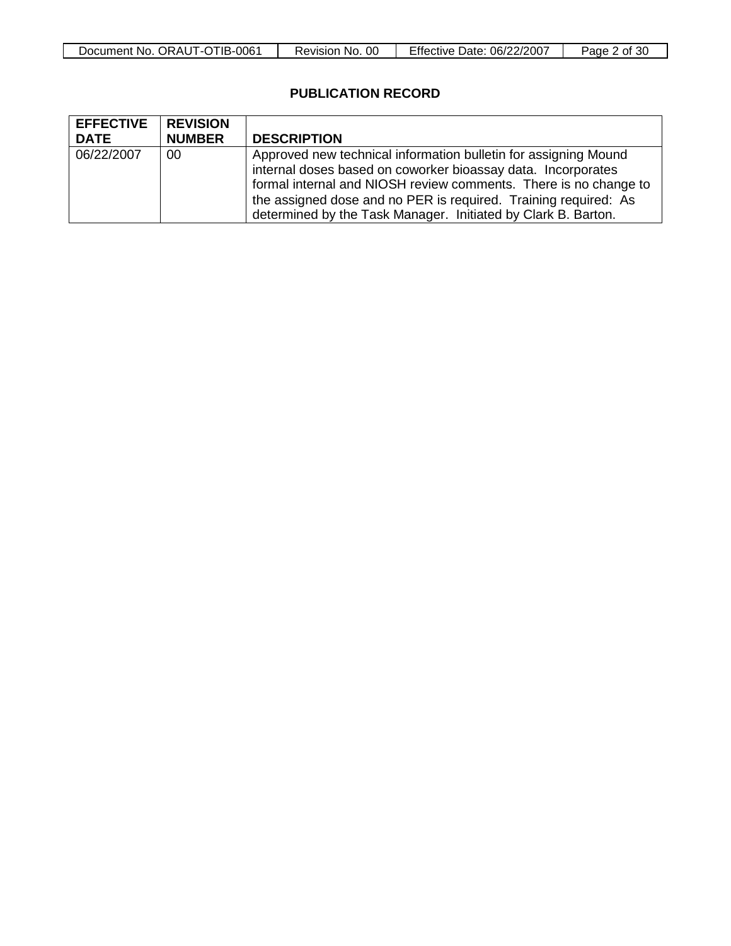| Document No.<br>ORAUT-OTIB-<br>-0061 | 0C<br>Revision No. | <b>Effective Date:</b><br>. 06/22/2007 | `30<br>Page<br>n of |
|--------------------------------------|--------------------|----------------------------------------|---------------------|

### **PUBLICATION RECORD**

| <b>EFFECTIVE</b>   REVISION<br><b>DATE</b> | <b>NUMBER</b> | <b>DESCRIPTION</b>                                                                                                                                                                                                                                                                                                                      |
|--------------------------------------------|---------------|-----------------------------------------------------------------------------------------------------------------------------------------------------------------------------------------------------------------------------------------------------------------------------------------------------------------------------------------|
| 06/22/2007                                 | 00            | Approved new technical information bulletin for assigning Mound<br>internal doses based on coworker bioassay data. Incorporates<br>formal internal and NIOSH review comments. There is no change to<br>the assigned dose and no PER is required. Training required: As<br>determined by the Task Manager. Initiated by Clark B. Barton. |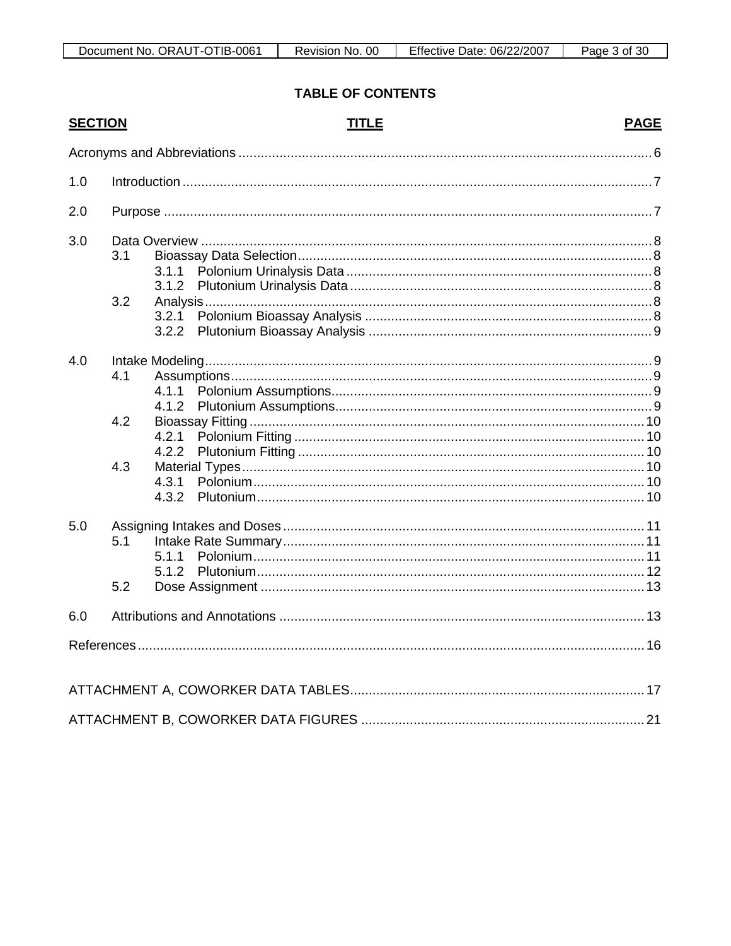### **TABLE OF CONTENTS**

| <b>SECTION</b> |            |                         | <b>TITLE</b> | <b>PAGE</b> |
|----------------|------------|-------------------------|--------------|-------------|
|                |            |                         |              |             |
| 1.0            |            |                         |              |             |
| 2.0            |            |                         |              |             |
| 3.0            | 3.1<br>3.2 | 3.1.1<br>3.1.2<br>3.2.1 |              |             |
| 4.0            | 4.1        | 4.1.1<br>4.1.2          |              |             |
|                | 4.2        | 4.2.1<br>4.2.2          |              |             |
|                | 4.3        | 4.3.1<br>4.3.2          |              |             |
| 5.0            | 5.1<br>5.2 | 5.1.1<br>5.1.2          |              |             |
| 6.0            |            |                         |              |             |
|                |            |                         |              |             |
|                |            |                         |              |             |
|                |            |                         |              |             |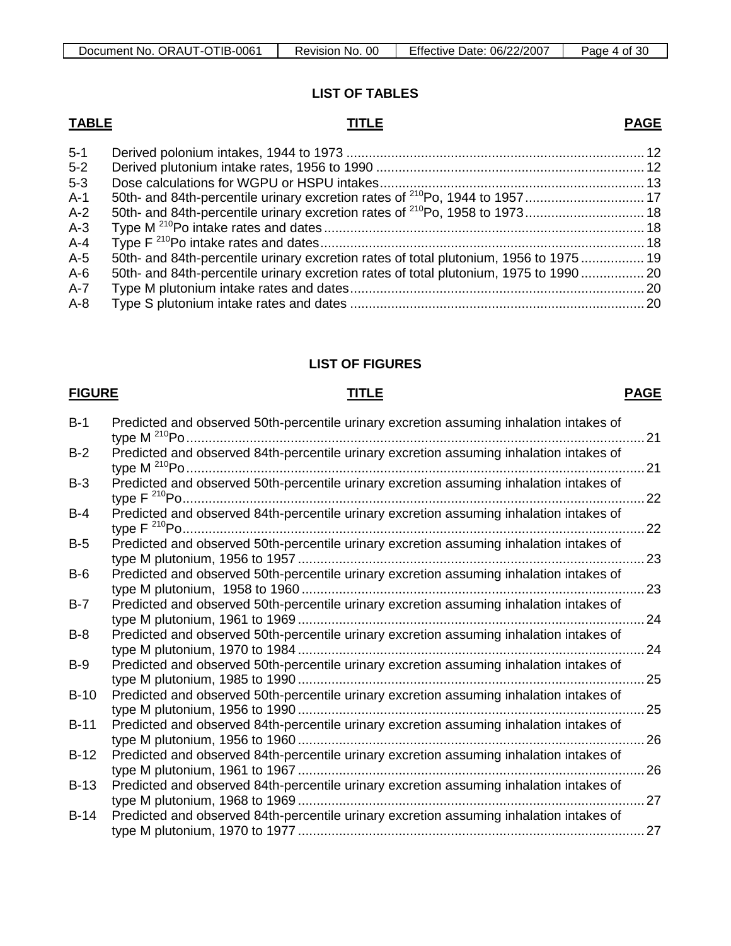### **LIST OF TABLES**

## **TABLE TITLE**

| × | v | ۰. |  |
|---|---|----|--|
|   |   |    |  |

| $5 - 1$ |                                                                                       |  |
|---------|---------------------------------------------------------------------------------------|--|
| $5 - 2$ |                                                                                       |  |
| $5 - 3$ |                                                                                       |  |
| $A-1$   |                                                                                       |  |
| $A-2$   |                                                                                       |  |
| $A-3$   |                                                                                       |  |
| $A - 4$ |                                                                                       |  |
| $A-5$   | 50th- and 84th-percentile urinary excretion rates of total plutonium, 1956 to 1975 19 |  |
| $A-6$   | 50th- and 84th-percentile urinary excretion rates of total plutonium, 1975 to 1990 20 |  |
| $A-7$   |                                                                                       |  |
| $A-8$   |                                                                                       |  |
|         |                                                                                       |  |

### **LIST OF FIGURES**

### **FIGURE TITLE**

### **PAGE**

| $B-1$  | Predicted and observed 50th-percentile urinary excretion assuming inhalation intakes of                     | 21 |
|--------|-------------------------------------------------------------------------------------------------------------|----|
| $B-2$  | Predicted and observed 84th-percentile urinary excretion assuming inhalation intakes of                     | 21 |
| $B-3$  | Predicted and observed 50th-percentile urinary excretion assuming inhalation intakes of<br>type $F^{210}Po$ | 22 |
| $B-4$  | Predicted and observed 84th-percentile urinary excretion assuming inhalation intakes of                     | 22 |
| $B-5$  | Predicted and observed 50th-percentile urinary excretion assuming inhalation intakes of                     | 23 |
| $B-6$  | Predicted and observed 50th-percentile urinary excretion assuming inhalation intakes of                     | 23 |
| $B-7$  | Predicted and observed 50th-percentile urinary excretion assuming inhalation intakes of                     | 24 |
| $B-8$  | Predicted and observed 50th-percentile urinary excretion assuming inhalation intakes of                     | 24 |
| $B-9$  | Predicted and observed 50th-percentile urinary excretion assuming inhalation intakes of                     | 25 |
| $B-10$ | Predicted and observed 50th-percentile urinary excretion assuming inhalation intakes of                     | 25 |
| $B-11$ | Predicted and observed 84th-percentile urinary excretion assuming inhalation intakes of                     | 26 |
| $B-12$ | Predicted and observed 84th-percentile urinary excretion assuming inhalation intakes of                     | 26 |
| $B-13$ | Predicted and observed 84th-percentile urinary excretion assuming inhalation intakes of                     | 27 |
| $B-14$ | Predicted and observed 84th-percentile urinary excretion assuming inhalation intakes of                     | 27 |
|        |                                                                                                             |    |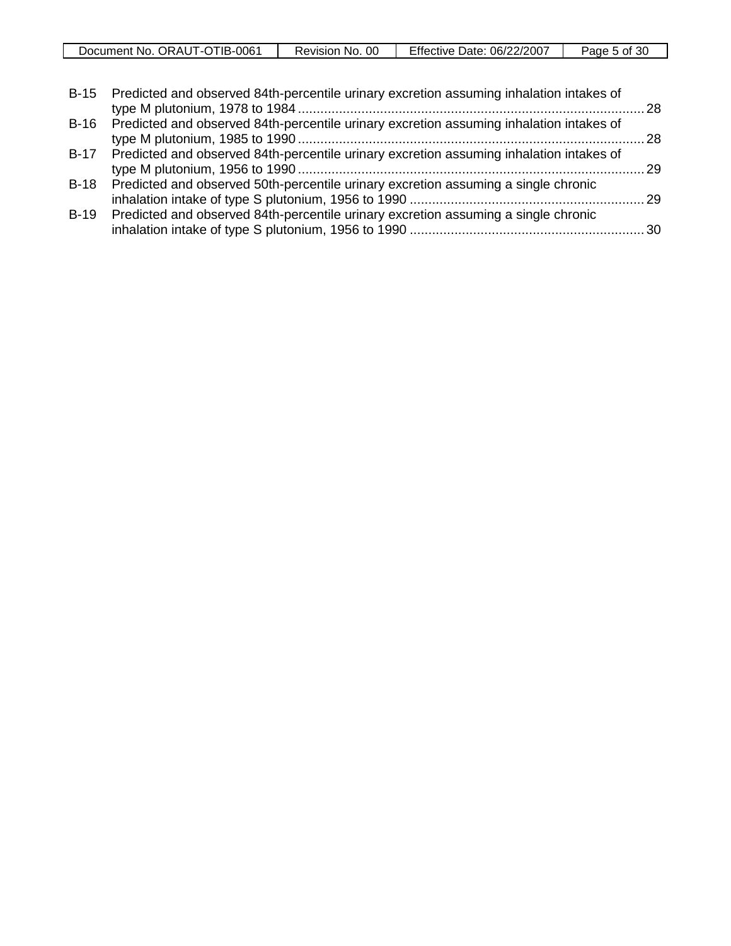| Document No.<br>ORAUT-OTIB-0061 | 00<br>Revision<br>No. | Effective<br>06/22/2007<br>Date: | 30<br>b of 1<br>Page |
|---------------------------------|-----------------------|----------------------------------|----------------------|

|        | B-15 Predicted and observed 84th-percentile urinary excretion assuming inhalation intakes of |  |
|--------|----------------------------------------------------------------------------------------------|--|
|        | B-16 Predicted and observed 84th-percentile urinary excretion assuming inhalation intakes of |  |
|        | B-17 Predicted and observed 84th-percentile urinary excretion assuming inhalation intakes of |  |
|        | B-18 Predicted and observed 50th-percentile urinary excretion assuming a single chronic      |  |
| $B-19$ | Predicted and observed 84th-percentile urinary excretion assuming a single chronic           |  |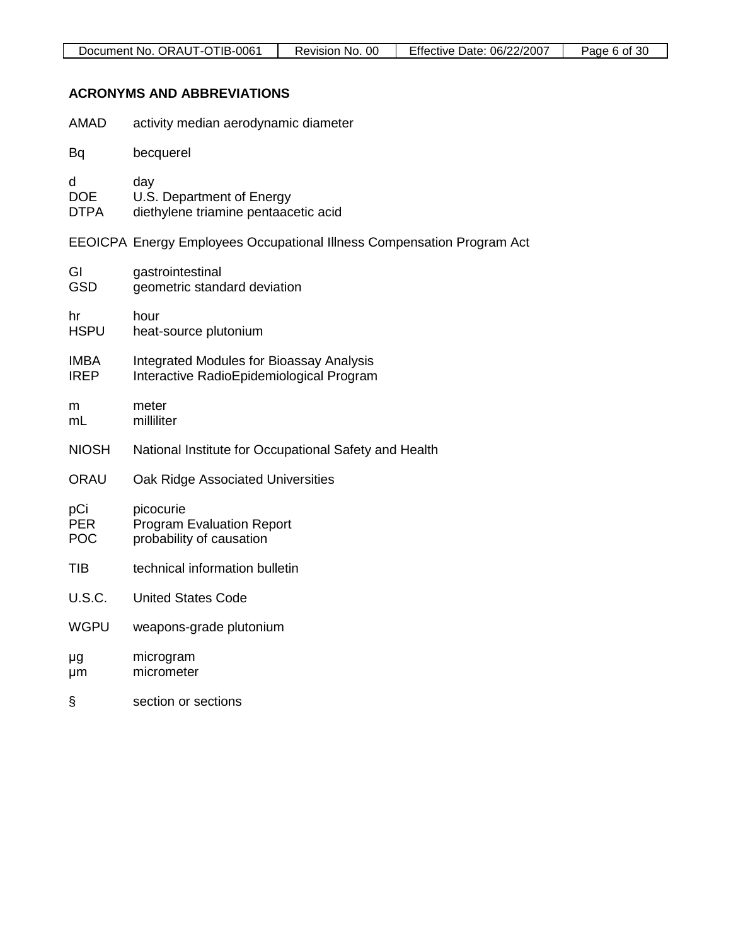### **ACRONYMS AND ABBREVIATIONS**

| <b>AMAD</b>                     | activity median aerodynamic diameter                                                        |
|---------------------------------|---------------------------------------------------------------------------------------------|
| Bq                              | becquerel                                                                                   |
| d<br><b>DOE</b><br><b>DTPA</b>  | day<br>U.S. Department of Energy<br>diethylene triamine pentaacetic acid                    |
|                                 | EEOICPA Energy Employees Occupational Illness Compensation Program Act                      |
| GI<br><b>GSD</b>                | gastrointestinal<br>geometric standard deviation                                            |
| hr<br><b>HSPU</b>               | hour<br>heat-source plutonium                                                               |
| <b>IMBA</b><br><b>IREP</b>      | <b>Integrated Modules for Bioassay Analysis</b><br>Interactive RadioEpidemiological Program |
| m<br>mL                         | meter<br>milliliter                                                                         |
| <b>NIOSH</b>                    | National Institute for Occupational Safety and Health                                       |
| <b>ORAU</b>                     | Oak Ridge Associated Universities                                                           |
| pCi<br><b>PER</b><br><b>POC</b> | picocurie<br><b>Program Evaluation Report</b><br>probability of causation                   |
| TIB                             | technical information bulletin                                                              |
| <b>U.S.C.</b>                   | <b>United States Code</b>                                                                   |
| <b>WGPU</b>                     | weapons-grade plutonium                                                                     |
| μg<br>μm                        | microgram<br>micrometer                                                                     |
| ş                               | section or sections                                                                         |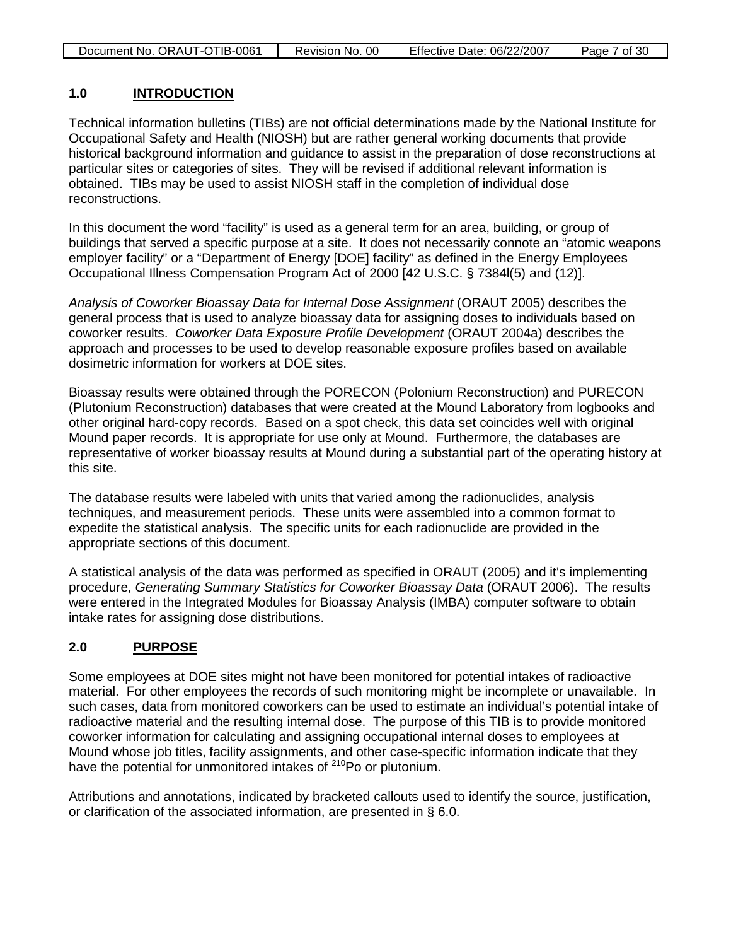| Document No. ORAUT-OTIB-0061<br>Revision No. 00 | Effective Date: 06/22/2007 | Page 7 of 30 |
|-------------------------------------------------|----------------------------|--------------|
|-------------------------------------------------|----------------------------|--------------|

#### **1.0 INTRODUCTION**

Technical information bulletins (TIBs) are not official determinations made by the National Institute for Occupational Safety and Health (NIOSH) but are rather general working documents that provide historical background information and guidance to assist in the preparation of dose reconstructions at particular sites or categories of sites. They will be revised if additional relevant information is obtained. TIBs may be used to assist NIOSH staff in the completion of individual dose reconstructions.

In this document the word "facility" is used as a general term for an area, building, or group of buildings that served a specific purpose at a site. It does not necessarily connote an "atomic weapons employer facility" or a "Department of Energy [DOE] facility" as defined in the Energy Employees Occupational Illness Compensation Program Act of 2000 [42 U.S.C. § 7384l(5) and (12)].

*Analysis of Coworker Bioassay Data for Internal Dose Assignment* (ORAUT 2005) describes the general process that is used to analyze bioassay data for assigning doses to individuals based on coworker results. *Coworker Data Exposure Profile Development* (ORAUT 2004a) describes the approach and processes to be used to develop reasonable exposure profiles based on available dosimetric information for workers at DOE sites.

Bioassay results were obtained through the PORECON (Polonium Reconstruction) and PURECON (Plutonium Reconstruction) databases that were created at the Mound Laboratory from logbooks and other original hard-copy records. Based on a spot check, this data set coincides well with original Mound paper records. It is appropriate for use only at Mound. Furthermore, the databases are representative of worker bioassay results at Mound during a substantial part of the operating history at this site.

The database results were labeled with units that varied among the radionuclides, analysis techniques, and measurement periods. These units were assembled into a common format to expedite the statistical analysis. The specific units for each radionuclide are provided in the appropriate sections of this document.

A statistical analysis of the data was performed as specified in ORAUT (2005) and it's implementing procedure, *Generating Summary Statistics for Coworker Bioassay Data* (ORAUT 2006). The results were entered in the Integrated Modules for Bioassay Analysis (IMBA) computer software to obtain intake rates for assigning dose distributions.

#### **2.0 PURPOSE**

Some employees at DOE sites might not have been monitored for potential intakes of radioactive material. For other employees the records of such monitoring might be incomplete or unavailable. In such cases, data from monitored coworkers can be used to estimate an individual's potential intake of radioactive material and the resulting internal dose. The purpose of this TIB is to provide monitored coworker information for calculating and assigning occupational internal doses to employees at Mound whose job titles, facility assignments, and other case-specific information indicate that they have the potential for unmonitored intakes of <sup>210</sup>Po or plutonium.

Attributions and annotations, indicated by bracketed callouts used to identify the source, justification, or clarification of the associated information, are presented in § 6.0.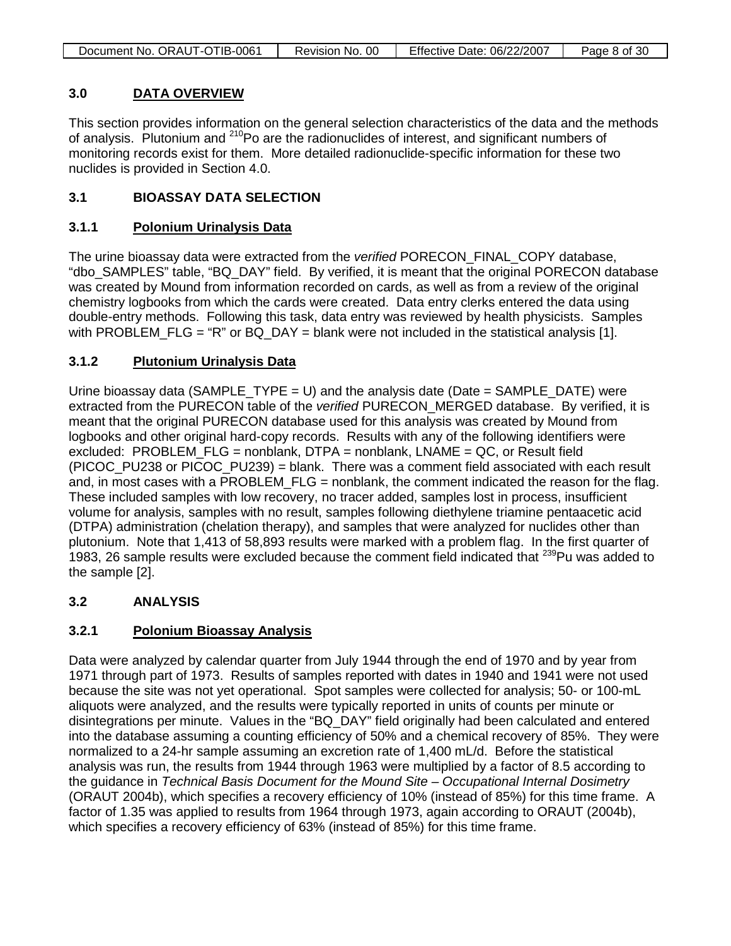#### **3.0 DATA OVERVIEW**

This section provides information on the general selection characteristics of the data and the methods of analysis. Plutonium and <sup>210</sup>Po are the radionuclides of interest, and significant numbers of monitoring records exist for them. More detailed radionuclide-specific information for these two nuclides is provided in Section 4.0.

### **3.1 BIOASSAY DATA SELECTION**

#### **3.1.1 Polonium Urinalysis Data**

The urine bioassay data were extracted from the *verified* PORECON\_FINAL\_COPY database, "dbo\_SAMPLES" table, "BQ\_DAY" field. By verified, it is meant that the original PORECON database was created by Mound from information recorded on cards, as well as from a review of the original chemistry logbooks from which the cards were created. Data entry clerks entered the data using double-entry methods. Following this task, data entry was reviewed by health physicists. Samples with PROBLEM FLG = "R" or BQ DAY = blank were not included in the statistical analysis [1].

#### **3.1.2 Plutonium Urinalysis Data**

Urine bioassay data (SAMPLE\_TYPE = U) and the analysis date (Date = SAMPLE\_DATE) were extracted from the PURECON table of the *verified* PURECON\_MERGED database. By verified, it is meant that the original PURECON database used for this analysis was created by Mound from logbooks and other original hard-copy records. Results with any of the following identifiers were excluded: PROBLEM\_FLG = nonblank, DTPA = nonblank, LNAME = QC, or Result field (PICOC\_PU238 or PICOC\_PU239) = blank. There was a comment field associated with each result and, in most cases with a PROBLEM FLG = nonblank, the comment indicated the reason for the flag. These included samples with low recovery, no tracer added, samples lost in process, insufficient volume for analysis, samples with no result, samples following diethylene triamine pentaacetic acid (DTPA) administration (chelation therapy), and samples that were analyzed for nuclides other than plutonium. Note that 1,413 of 58,893 results were marked with a problem flag. In the first quarter of 1983, 26 sample results were excluded because the comment field indicated that <sup>239</sup>Pu was added to the sample [2].

### **3.2 ANALYSIS**

#### **3.2.1 Polonium Bioassay Analysis**

Data were analyzed by calendar quarter from July 1944 through the end of 1970 and by year from 1971 through part of 1973. Results of samples reported with dates in 1940 and 1941 were not used because the site was not yet operational. Spot samples were collected for analysis; 50- or 100-mL aliquots were analyzed, and the results were typically reported in units of counts per minute or disintegrations per minute. Values in the "BQ\_DAY" field originally had been calculated and entered into the database assuming a counting efficiency of 50% and a chemical recovery of 85%. They were normalized to a 24-hr sample assuming an excretion rate of 1,400 mL/d. Before the statistical analysis was run, the results from 1944 through 1963 were multiplied by a factor of 8.5 according to the guidance in *Technical Basis Document for the Mound Site – Occupational Internal Dosimetry* (ORAUT 2004b), which specifies a recovery efficiency of 10% (instead of 85%) for this time frame. A factor of 1.35 was applied to results from 1964 through 1973, again according to ORAUT (2004b), which specifies a recovery efficiency of 63% (instead of 85%) for this time frame.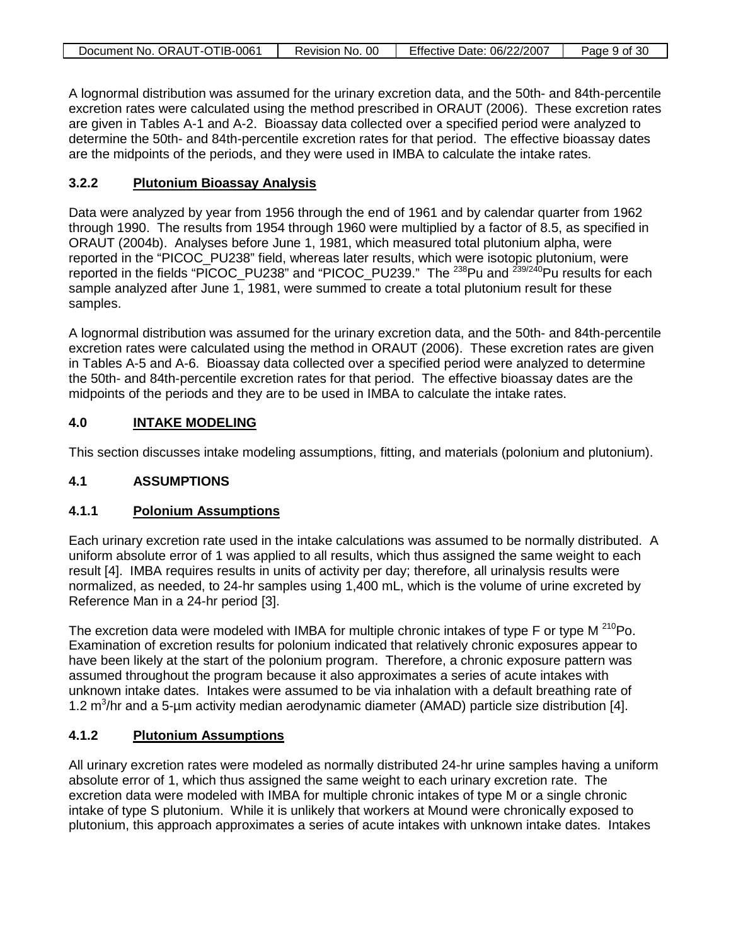| Document No. ORAUT-OTIB-0061 | Revision No. 00 | Effective Date: 06/22/2007 | Page 9 of 30 |
|------------------------------|-----------------|----------------------------|--------------|
|                              |                 |                            |              |

A lognormal distribution was assumed for the urinary excretion data, and the 50th- and 84th-percentile excretion rates were calculated using the method prescribed in ORAUT (2006). These excretion rates are given in Tables A-1 and A-2. Bioassay data collected over a specified period were analyzed to determine the 50th- and 84th-percentile excretion rates for that period. The effective bioassay dates are the midpoints of the periods, and they were used in IMBA to calculate the intake rates.

#### **3.2.2 Plutonium Bioassay Analysis**

Data were analyzed by year from 1956 through the end of 1961 and by calendar quarter from 1962 through 1990. The results from 1954 through 1960 were multiplied by a factor of 8.5, as specified in ORAUT (2004b). Analyses before June 1, 1981, which measured total plutonium alpha, were reported in the "PICOC\_PU238" field, whereas later results, which were isotopic plutonium, were reported in the fields "PICOC\_PU238" and "PICOC\_PU239." The <sup>238</sup>Pu and <sup>239/240</sup>Pu results for each sample analyzed after June 1, 1981, were summed to create a total plutonium result for these samples.

A lognormal distribution was assumed for the urinary excretion data, and the 50th- and 84th-percentile excretion rates were calculated using the method in ORAUT (2006). These excretion rates are given in Tables A-5 and A-6. Bioassay data collected over a specified period were analyzed to determine the 50th- and 84th-percentile excretion rates for that period. The effective bioassay dates are the midpoints of the periods and they are to be used in IMBA to calculate the intake rates.

#### **4.0 INTAKE MODELING**

This section discusses intake modeling assumptions, fitting, and materials (polonium and plutonium).

### **4.1 ASSUMPTIONS**

#### **4.1.1 Polonium Assumptions**

Each urinary excretion rate used in the intake calculations was assumed to be normally distributed. A uniform absolute error of 1 was applied to all results, which thus assigned the same weight to each result [4]. IMBA requires results in units of activity per day; therefore, all urinalysis results were normalized, as needed, to 24-hr samples using 1,400 mL, which is the volume of urine excreted by Reference Man in a 24-hr period [3].

The excretion data were modeled with IMBA for multiple chronic intakes of type F or type M  $^{210}$ Po. Examination of excretion results for polonium indicated that relatively chronic exposures appear to have been likely at the start of the polonium program. Therefore, a chronic exposure pattern was assumed throughout the program because it also approximates a series of acute intakes with unknown intake dates. Intakes were assumed to be via inhalation with a default breathing rate of 1.2  $\text{m}^3$ /hr and a 5-µm activity median aerodynamic diameter (AMAD) particle size distribution [4].

#### **4.1.2 Plutonium Assumptions**

All urinary excretion rates were modeled as normally distributed 24-hr urine samples having a uniform absolute error of 1, which thus assigned the same weight to each urinary excretion rate. The excretion data were modeled with IMBA for multiple chronic intakes of type M or a single chronic intake of type S plutonium. While it is unlikely that workers at Mound were chronically exposed to plutonium, this approach approximates a series of acute intakes with unknown intake dates. Intakes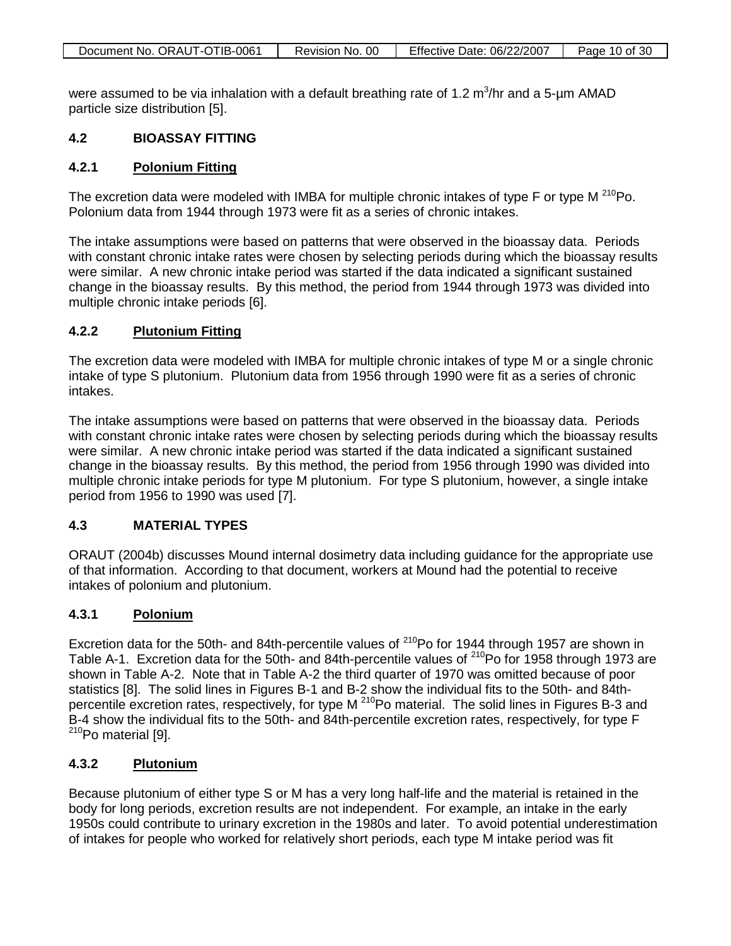| Document No. ORAUT-OTIB-0061 | Revision No. 00 | Effective Date: 06/22/2007 | Page 10 of 30 |
|------------------------------|-----------------|----------------------------|---------------|
|                              |                 |                            |               |

were assumed to be via inhalation with a default breathing rate of 1.2  $\text{m}^3\text{/hr}$  and a 5-µm AMAD particle size distribution [5].

### **4.2 BIOASSAY FITTING**

#### **4.2.1 Polonium Fitting**

The excretion data were modeled with IMBA for multiple chronic intakes of type F or type M<sup>210</sup>Po. Polonium data from 1944 through 1973 were fit as a series of chronic intakes.

The intake assumptions were based on patterns that were observed in the bioassay data. Periods with constant chronic intake rates were chosen by selecting periods during which the bioassay results were similar. A new chronic intake period was started if the data indicated a significant sustained change in the bioassay results. By this method, the period from 1944 through 1973 was divided into multiple chronic intake periods [6].

#### **4.2.2 Plutonium Fitting**

The excretion data were modeled with IMBA for multiple chronic intakes of type M or a single chronic intake of type S plutonium. Plutonium data from 1956 through 1990 were fit as a series of chronic intakes.

The intake assumptions were based on patterns that were observed in the bioassay data. Periods with constant chronic intake rates were chosen by selecting periods during which the bioassay results were similar. A new chronic intake period was started if the data indicated a significant sustained change in the bioassay results. By this method, the period from 1956 through 1990 was divided into multiple chronic intake periods for type M plutonium. For type S plutonium, however, a single intake period from 1956 to 1990 was used [7].

### **4.3 MATERIAL TYPES**

ORAUT (2004b) discusses Mound internal dosimetry data including guidance for the appropriate use of that information. According to that document, workers at Mound had the potential to receive intakes of polonium and plutonium.

#### **4.3.1 Polonium**

Excretion data for the 50th- and 84th-percentile values of  $^{210}$ Po for 1944 through 1957 are shown in Table A-1. Excretion data for the 50th- and 84th-percentile values of <sup>210</sup>Po for 1958 through 1973 are shown in Table A-2. Note that in Table A-2 the third quarter of 1970 was omitted because of poor statistics [8]. The solid lines in Figures B-1 and B-2 show the individual fits to the 50th- and 84thpercentile excretion rates, respectively, for type M<sup>210</sup>Po material. The solid lines in Figures B-3 and B-4 show the individual fits to the 50th- and 84th-percentile excretion rates, respectively, for type F  $210P$ o material [9].

#### **4.3.2 Plutonium**

Because plutonium of either type S or M has a very long half-life and the material is retained in the body for long periods, excretion results are not independent. For example, an intake in the early 1950s could contribute to urinary excretion in the 1980s and later. To avoid potential underestimation of intakes for people who worked for relatively short periods, each type M intake period was fit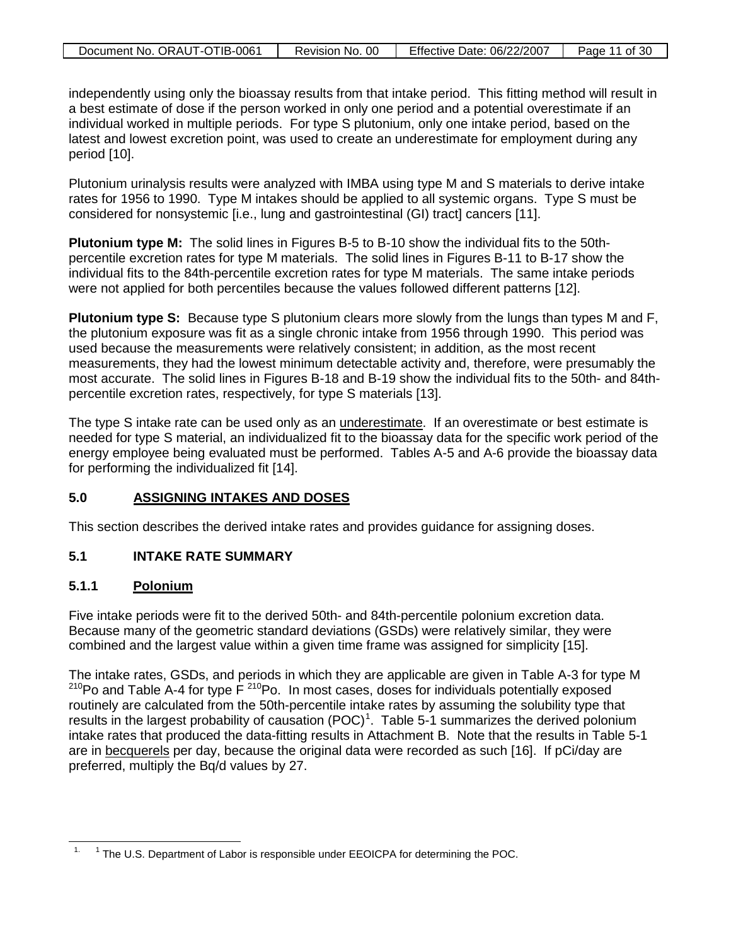| Document No. ORAUT-OTIB-0061 | Revision No. 00 | Effective Date: 06/22/2007 | Page 11 of 30 |
|------------------------------|-----------------|----------------------------|---------------|

independently using only the bioassay results from that intake period. This fitting method will result in a best estimate of dose if the person worked in only one period and a potential overestimate if an individual worked in multiple periods. For type S plutonium, only one intake period, based on the latest and lowest excretion point, was used to create an underestimate for employment during any period [10].

Plutonium urinalysis results were analyzed with IMBA using type M and S materials to derive intake rates for 1956 to 1990. Type M intakes should be applied to all systemic organs. Type S must be considered for nonsystemic [i.e., lung and gastrointestinal (GI) tract] cancers [11].

**Plutonium type M:** The solid lines in Figures B-5 to B-10 show the individual fits to the 50thpercentile excretion rates for type M materials. The solid lines in Figures B-11 to B-17 show the individual fits to the 84th-percentile excretion rates for type M materials. The same intake periods were not applied for both percentiles because the values followed different patterns [12].

**Plutonium type S:** Because type S plutonium clears more slowly from the lungs than types M and F, the plutonium exposure was fit as a single chronic intake from 1956 through 1990. This period was used because the measurements were relatively consistent; in addition, as the most recent measurements, they had the lowest minimum detectable activity and, therefore, were presumably the most accurate. The solid lines in Figures B-18 and B-19 show the individual fits to the 50th- and 84thpercentile excretion rates, respectively, for type S materials [13].

The type S intake rate can be used only as an <u>underestimate</u>. If an overestimate or best estimate is needed for type S material, an individualized fit to the bioassay data for the specific work period of the energy employee being evaluated must be performed. Tables A-5 and A-6 provide the bioassay data for performing the individualized fit [14].

#### **5.0 ASSIGNING INTAKES AND DOSES**

This section describes the derived intake rates and provides guidance for assigning doses.

### **5.1 INTAKE RATE SUMMARY**

#### **5.1.1 Polonium**

Five intake periods were fit to the derived 50th- and 84th-percentile polonium excretion data. Because many of the geometric standard deviations (GSDs) were relatively similar, they were combined and the largest value within a given time frame was assigned for simplicity [15].

The intake rates, GSDs, and periods in which they are applicable are given in Table A-3 for type M  $210P$ o and Table A-4 for type F $210P$ o. In most cases, doses for individuals potentially exposed routinely are calculated from the 50th-percentile intake rates by assuming the solubility type that results in the largest probability of causation  $(POC)^1$  $(POC)^1$ . Table 5-1 summarizes the derived polonium intake rates that produced the data-fitting results in Attachment B. Note that the results in Table 5-1 are in becquerels per day, because the original data were recorded as such [16]. If pCi/day are preferred, multiply the Bq/d values by 27.

<span id="page-10-0"></span> $\overline{a}$ <sup>1</sup> The U.S. Department of Labor is responsible under EEOICPA for determining the POC.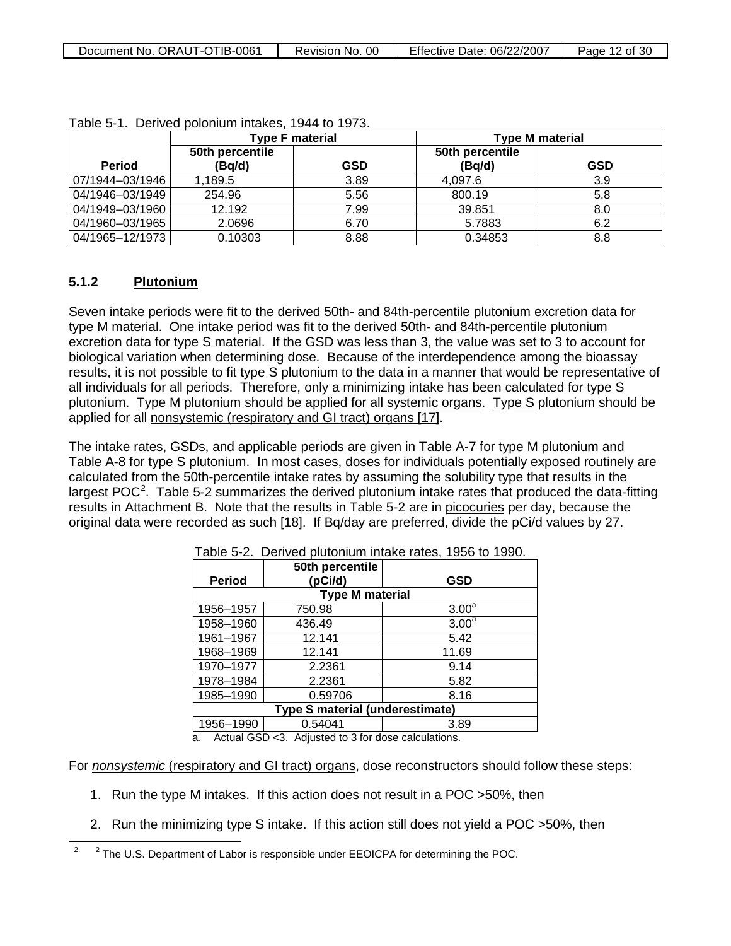| Document No. ORAUT-OTIB-0061 | Revision No. 00 | <b>Effective Date: 06/22/2007</b> | Page 12 of 30 |
|------------------------------|-----------------|-----------------------------------|---------------|
|------------------------------|-----------------|-----------------------------------|---------------|

|                 | <b>Type F material</b> |      | <b>Type M material</b> |            |  |
|-----------------|------------------------|------|------------------------|------------|--|
|                 | 50th percentile        |      | 50th percentile        |            |  |
| <b>Period</b>   | (Bq/d)                 | GSD  | (Bq/d)                 | <b>GSD</b> |  |
| 07/1944-03/1946 | 1,189.5                | 3.89 | 4,097.6                | 3.9        |  |
| 04/1946-03/1949 | 254.96                 | 5.56 | 800.19                 | 5.8        |  |
| 04/1949-03/1960 | 12.192                 | 7.99 | 39.851                 | 8.0        |  |
| 04/1960-03/1965 | 2.0696                 | 6.70 | 5.7883                 | 6.2        |  |
| 04/1965-12/1973 | 0.10303                | 8.88 | 0.34853                | 8.8        |  |

#### **5.1.2 Plutonium**

Seven intake periods were fit to the derived 50th- and 84th-percentile plutonium excretion data for type M material. One intake period was fit to the derived 50th- and 84th-percentile plutonium excretion data for type S material. If the GSD was less than 3, the value was set to 3 to account for biological variation when determining dose. Because of the interdependence among the bioassay results, it is not possible to fit type S plutonium to the data in a manner that would be representative of all individuals for all periods. Therefore, only a minimizing intake has been calculated for type S plutonium. Type M plutonium should be applied for all <u>systemic organs</u>. Type S plutonium should be applied for all nonsystemic (respiratory and GI tract) organs [17].

The intake rates, GSDs, and applicable periods are given in Table A-7 for type M plutonium and Table A-8 for type S plutonium. In most cases, doses for individuals potentially exposed routinely are calculated from the 50th-percentile intake rates by assuming the solubility type that results in the largest POC<sup>[2](#page-11-0)</sup>. Table 5-2 summarizes the derived plutonium intake rates that produced the data-fitting results in Attachment B. Note that the results in Table 5-2 are in picocuries per day, because the original data were recorded as such [18]. If Bq/day are preferred, divide the pCi/d values by 27.

| <b>Period</b>                          | 50th percentile<br>(pCi/d) | <b>GSD</b>        |  |  |  |  |  |  |
|----------------------------------------|----------------------------|-------------------|--|--|--|--|--|--|
|                                        | <b>Type M material</b>     |                   |  |  |  |  |  |  |
| 1956-1957                              | 750.98                     | 3.00 <sup>a</sup> |  |  |  |  |  |  |
| 1958-1960                              | 436.49                     | 3.00 <sup>a</sup> |  |  |  |  |  |  |
| 1961-1967                              | 12.141                     | 5.42              |  |  |  |  |  |  |
| 1968-1969                              | 12.141                     | 11.69             |  |  |  |  |  |  |
| 1970-1977                              | 2.2361                     | 9.14              |  |  |  |  |  |  |
| 1978-1984                              | 2.2361                     | 5.82              |  |  |  |  |  |  |
| 1985-1990                              | 0.59706                    | 8.16              |  |  |  |  |  |  |
| <b>Type S material (underestimate)</b> |                            |                   |  |  |  |  |  |  |
| 1956-1990                              | 0.54041                    | 3.89              |  |  |  |  |  |  |

Table 5-2. Derived plutonium intake rates, 1956 to 1990.

a. Actual GSD <3. Adjusted to 3 for dose calculations.

For *nonsystemic* (respiratory and GI tract) organs , dose reconstructors should follow these steps:

- 1. Run the type M intakes. If this action does not result in a POC >50%, then
- 2. Run the minimizing type S intake. If this action still does not yield a POC >50%, then

<span id="page-11-0"></span> $\overline{a}$ <sup>2</sup> The U.S. Department of Labor is responsible under EEOICPA for determining the POC.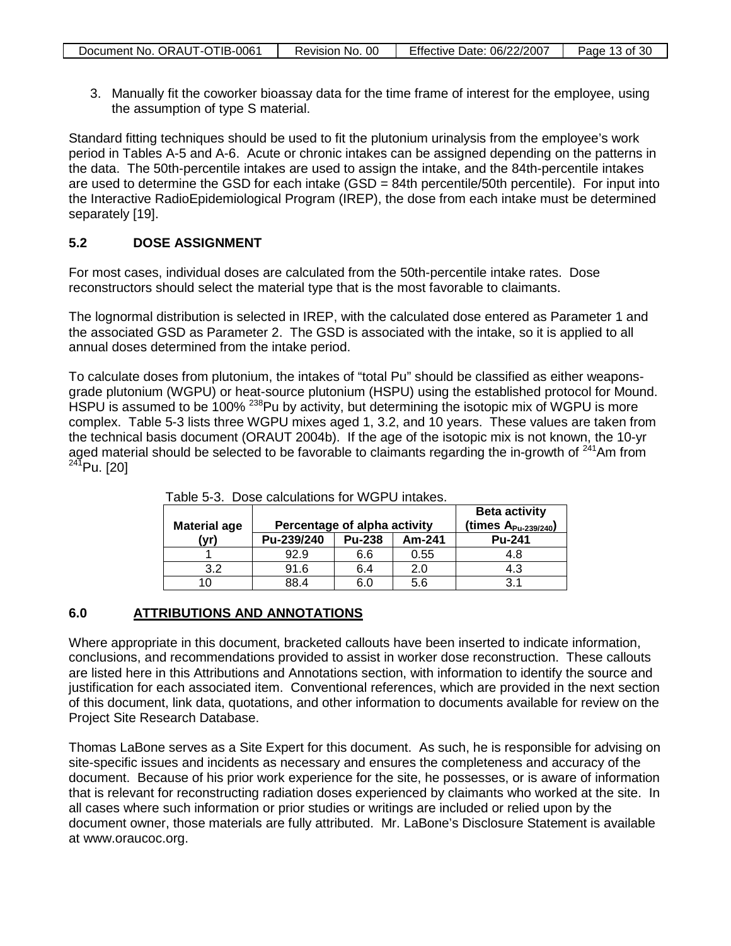3. Manually fit the coworker bioassay data for the time frame of interest for the employee, using the assumption of type S material.

Standard fitting techniques should be used to fit the plutonium urinalysis from the employee's work period in Tables A-5 and A-6. Acute or chronic intakes can be assigned depending on the patterns in the data. The 50th-percentile intakes are used to assign the intake, and the 84th-percentile intakes are used to determine the GSD for each intake (GSD = 84th percentile/50th percentile). For input into the Interactive RadioEpidemiological Program (IREP), the dose from each intake must be determined separately [19].

### **5.2 DOSE ASSIGNMENT**

For most cases, individual doses are calculated from the 50th-percentile intake rates. Dose reconstructors should select the material type that is the most favorable to claimants.

The lognormal distribution is selected in IREP, with the calculated dose entered as Parameter 1 and the associated GSD as Parameter 2. The GSD is associated with the intake, so it is applied to all annual doses determined from the intake period.

To calculate doses from plutonium, the intakes of "total Pu" should be classified as either weaponsgrade plutonium (WGPU) or heat-source plutonium (HSPU) using the established protocol for Mound. HSPU is assumed to be 100% <sup>238</sup>Pu by activity, but determining the isotopic mix of WGPU is more complex. Table 5-3 lists three WGPU mixes aged 1, 3.2, and 10 years. These values are taken from the technical basis document (ORAUT 2004b). If the age of the isotopic mix is not known, the 10-yr aged material should be selected to be favorable to claimants regarding the in-growth of  $241$ Am from  $^{241}$ Pu. [20]

| <b>Material age</b> | Percentage of alpha activity |               | <b>Beta activity</b><br>(times $A_{Pu-239/240}$ ) |               |
|---------------------|------------------------------|---------------|---------------------------------------------------|---------------|
| (vr)                | Pu-239/240                   | <b>Pu-238</b> | Am-241                                            | <b>Pu-241</b> |
|                     | 92.9                         | 6.6           | 0.55                                              | 4.8           |
| 3.2                 | 91.6                         | 6.4           | 2.0                                               | 4.3           |
|                     | 88.4                         |               | 5.6                                               | 3.1           |

|  | Table 5-3. Dose calculations for WGPU intakes. |
|--|------------------------------------------------|
|--|------------------------------------------------|

#### **6.0 ATTRIBUTIONS AND ANNOTATIONS**

Where appropriate in this document, bracketed callouts have been inserted to indicate information, conclusions, and recommendations provided to assist in worker dose reconstruction. These callouts are listed here in this Attributions and Annotations section, with information to identify the source and justification for each associated item. Conventional references, which are provided in the next section of this document, link data, quotations, and other information to documents available for review on the Project Site Research Database.

Thomas LaBone serves as a Site Expert for this document. As such, he is responsible for advising on site-specific issues and incidents as necessary and ensures the completeness and accuracy of the document. Because of his prior work experience for the site, he possesses, or is aware of information that is relevant for reconstructing radiation doses experienced by claimants who worked at the site. In all cases where such information or prior studies or writings are included or relied upon by the document owner, those materials are fully attributed. Mr. LaBone's Disclosure Statement is available at www.oraucoc.org.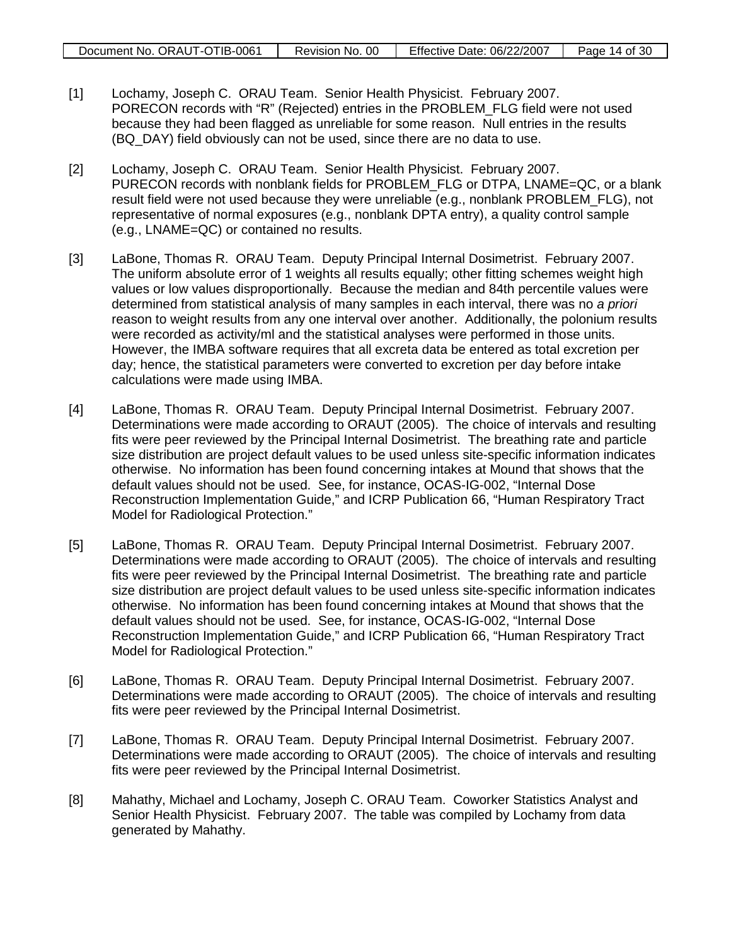| Document No. ORAUT-OTIB-0061 | 00<br>Revision No. | Effective Date: 06/22/2007 | Page 14 of 30 |
|------------------------------|--------------------|----------------------------|---------------|

- [1] Lochamy, Joseph C. ORAU Team. Senior Health Physicist. February 2007. PORECON records with "R" (Rejected) entries in the PROBLEM\_FLG field were not used because they had been flagged as unreliable for some reason. Null entries in the results (BQ\_DAY) field obviously can not be used, since there are no data to use.
- [2] Lochamy, Joseph C. ORAU Team. Senior Health Physicist. February 2007. PURECON records with nonblank fields for PROBLEM\_FLG or DTPA, LNAME=QC, or a blank result field were not used because they were unreliable (e.g., nonblank PROBLEM\_FLG), not representative of normal exposures (e.g., nonblank DPTA entry), a quality control sample (e.g., LNAME=QC) or contained no results.
- [3] LaBone, Thomas R. ORAU Team. Deputy Principal Internal Dosimetrist. February 2007. The uniform absolute error of 1 weights all results equally; other fitting schemes weight high values or low values disproportionally. Because the median and 84th percentile values were determined from statistical analysis of many samples in each interval, there was no *a priori* reason to weight results from any one interval over another. Additionally, the polonium results were recorded as activity/ml and the statistical analyses were performed in those units. However, the IMBA software requires that all excreta data be entered as total excretion per day; hence, the statistical parameters were converted to excretion per day before intake calculations were made using IMBA.
- [4] LaBone, Thomas R. ORAU Team. Deputy Principal Internal Dosimetrist. February 2007. Determinations were made according to ORAUT (2005). The choice of intervals and resulting fits were peer reviewed by the Principal Internal Dosimetrist. The breathing rate and particle size distribution are project default values to be used unless site-specific information indicates otherwise. No information has been found concerning intakes at Mound that shows that the default values should not be used. See, for instance, OCAS-IG-002, "Internal Dose Reconstruction Implementation Guide," and ICRP Publication 66, "Human Respiratory Tract Model for Radiological Protection."
- [5] LaBone, Thomas R. ORAU Team. Deputy Principal Internal Dosimetrist. February 2007. Determinations were made according to ORAUT (2005). The choice of intervals and resulting fits were peer reviewed by the Principal Internal Dosimetrist. The breathing rate and particle size distribution are project default values to be used unless site-specific information indicates otherwise. No information has been found concerning intakes at Mound that shows that the default values should not be used. See, for instance, OCAS-IG-002, "Internal Dose Reconstruction Implementation Guide," and ICRP Publication 66, "Human Respiratory Tract Model for Radiological Protection."
- [6] LaBone, Thomas R. ORAU Team. Deputy Principal Internal Dosimetrist. February 2007. Determinations were made according to ORAUT (2005). The choice of intervals and resulting fits were peer reviewed by the Principal Internal Dosimetrist.
- [7] LaBone, Thomas R. ORAU Team. Deputy Principal Internal Dosimetrist. February 2007. Determinations were made according to ORAUT (2005). The choice of intervals and resulting fits were peer reviewed by the Principal Internal Dosimetrist.
- [8] Mahathy, Michael and Lochamy, Joseph C. ORAU Team. Coworker Statistics Analyst and Senior Health Physicist. February 2007. The table was compiled by Lochamy from data generated by Mahathy.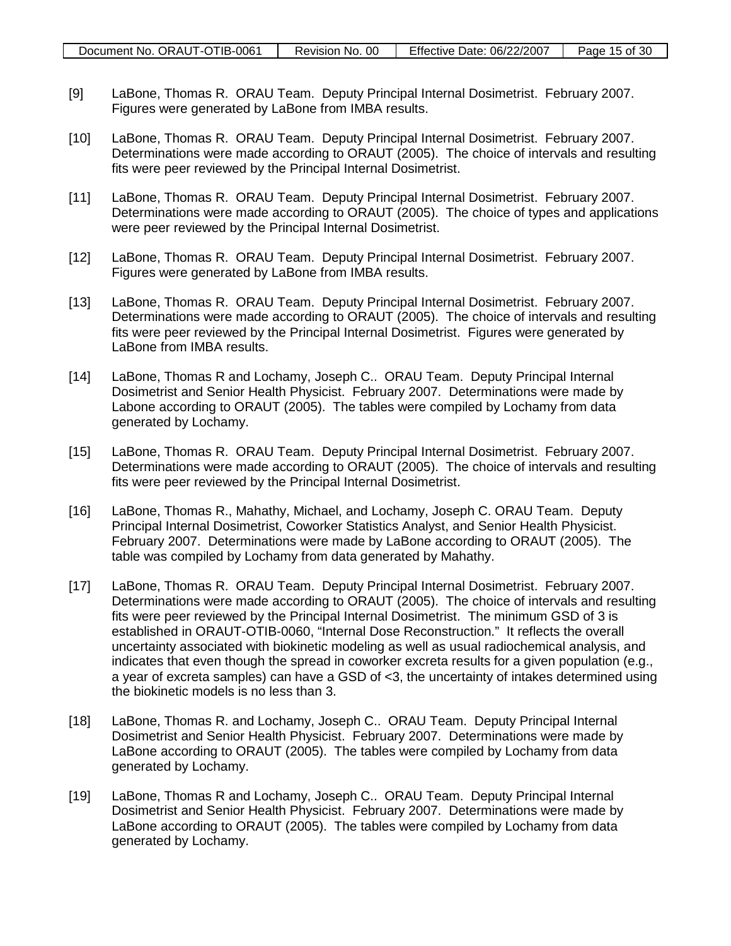- [9] LaBone, Thomas R. ORAU Team. Deputy Principal Internal Dosimetrist. February 2007. Figures were generated by LaBone from IMBA results.
- [10] LaBone, Thomas R. ORAU Team. Deputy Principal Internal Dosimetrist. February 2007. Determinations were made according to ORAUT (2005). The choice of intervals and resulting fits were peer reviewed by the Principal Internal Dosimetrist.
- [11] LaBone, Thomas R. ORAU Team. Deputy Principal Internal Dosimetrist. February 2007. Determinations were made according to ORAUT (2005). The choice of types and applications were peer reviewed by the Principal Internal Dosimetrist.
- [12] LaBone, Thomas R. ORAU Team. Deputy Principal Internal Dosimetrist. February 2007. Figures were generated by LaBone from IMBA results.
- [13] LaBone, Thomas R. ORAU Team. Deputy Principal Internal Dosimetrist. February 2007. Determinations were made according to ORAUT (2005). The choice of intervals and resulting fits were peer reviewed by the Principal Internal Dosimetrist. Figures were generated by LaBone from IMBA results.
- [14] LaBone, Thomas R and Lochamy, Joseph C.. ORAU Team. Deputy Principal Internal Dosimetrist and Senior Health Physicist. February 2007. Determinations were made by Labone according to ORAUT (2005). The tables were compiled by Lochamy from data generated by Lochamy.
- [15] LaBone, Thomas R. ORAU Team. Deputy Principal Internal Dosimetrist. February 2007. Determinations were made according to ORAUT (2005). The choice of intervals and resulting fits were peer reviewed by the Principal Internal Dosimetrist.
- [16] LaBone, Thomas R., Mahathy, Michael, and Lochamy, Joseph C. ORAU Team. Deputy Principal Internal Dosimetrist, Coworker Statistics Analyst, and Senior Health Physicist. February 2007. Determinations were made by LaBone according to ORAUT (2005). The table was compiled by Lochamy from data generated by Mahathy.
- [17] LaBone, Thomas R. ORAU Team. Deputy Principal Internal Dosimetrist. February 2007. Determinations were made according to ORAUT (2005). The choice of intervals and resulting fits were peer reviewed by the Principal Internal Dosimetrist. The minimum GSD of 3 is established in ORAUT-OTIB-0060, "Internal Dose Reconstruction." It reflects the overall uncertainty associated with biokinetic modeling as well as usual radiochemical analysis, and indicates that even though the spread in coworker excreta results for a given population (e.g., a year of excreta samples) can have a GSD of <3, the uncertainty of intakes determined using the biokinetic models is no less than 3.
- [18] LaBone, Thomas R. and Lochamy, Joseph C.. ORAU Team. Deputy Principal Internal Dosimetrist and Senior Health Physicist. February 2007. Determinations were made by LaBone according to ORAUT (2005). The tables were compiled by Lochamy from data generated by Lochamy.
- [19] LaBone, Thomas R and Lochamy, Joseph C.. ORAU Team. Deputy Principal Internal Dosimetrist and Senior Health Physicist. February 2007. Determinations were made by LaBone according to ORAUT (2005). The tables were compiled by Lochamy from data generated by Lochamy.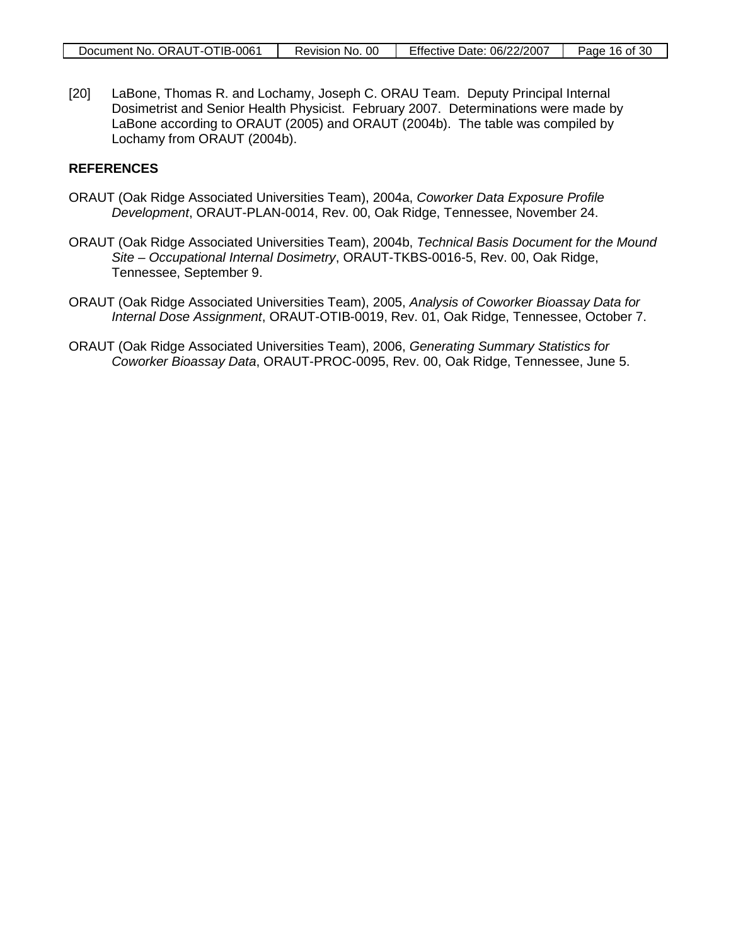[20] LaBone, Thomas R. and Lochamy, Joseph C. ORAU Team. Deputy Principal Internal Dosimetrist and Senior Health Physicist. February 2007. Determinations were made by LaBone according to ORAUT (2005) and ORAUT (2004b). The table was compiled by Lochamy from ORAUT (2004b).

#### **REFERENCES**

- ORAUT (Oak Ridge Associated Universities Team), 2004a, *Coworker Data Exposure Profile Development*, ORAUT-PLAN-0014, Rev. 00, Oak Ridge, Tennessee, November 24.
- ORAUT (Oak Ridge Associated Universities Team), 2004b, *Technical Basis Document for the Mound Site – Occupational Internal Dosimetry*, ORAUT-TKBS-0016-5, Rev. 00, Oak Ridge, Tennessee, September 9.
- ORAUT (Oak Ridge Associated Universities Team), 2005, *Analysis of Coworker Bioassay Data for Internal Dose Assignment*, ORAUT-OTIB-0019, Rev. 01, Oak Ridge, Tennessee, October 7.
- ORAUT (Oak Ridge Associated Universities Team), 2006, *Generating Summary Statistics for Coworker Bioassay Data*, ORAUT-PROC-0095, Rev. 00, Oak Ridge, Tennessee, June 5.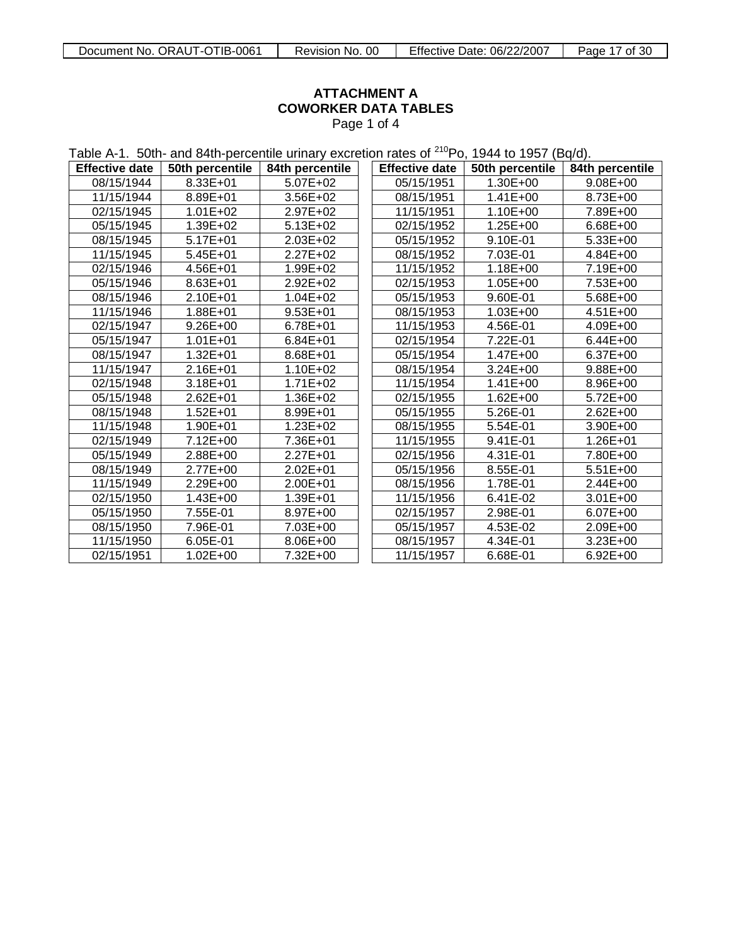<span id="page-16-0"></span>

### **ATTACHMENT A COWORKER DATA TABLES** Page 1 of 4

Table A-1. 50th- and 84th-percentile urinary excretion rates of <sup>210</sup>Po, 1944 to 1957 (Bq/d).

| <b>Effective date</b> | 50th percentile | 84th percentile | <b>Effective date</b> | 50th percentile | 84th percentile |
|-----------------------|-----------------|-----------------|-----------------------|-----------------|-----------------|
| 08/15/1944            | 8.33E+01        | 5.07E+02        | 05/15/1951            | $1.30E + 00$    | 9.08E+00        |
| 11/15/1944            | 8.89E+01        | 3.56E+02        | 08/15/1951            | $1.41E + 00$    | 8.73E+00        |
| 02/15/1945            | $1.01E + 02$    | 2.97E+02        | 11/15/1951            | 1.10E+00        | 7.89E+00        |
| 05/15/1945            | 1.39E+02        | 5.13E+02        | 02/15/1952            | 1.25E+00        | 6.68E+00        |
| 08/15/1945            | $5.17E + 01$    | 2.03E+02        | 05/15/1952            | 9.10E-01        | 5.33E+00        |
| 11/15/1945            | $5.45E + 01$    | 2.27E+02        | 08/15/1952            | 7.03E-01        | 4.84E+00        |
| 02/15/1946            | 4.56E+01        | 1.99E+02        | 11/15/1952            | 1.18E+00        | 7.19E+00        |
| 05/15/1946            | 8.63E+01        | 2.92E+02        | 02/15/1953            | 1.05E+00        | 7.53E+00        |
| 08/15/1946            | 2.10E+01        | $1.04E + 02$    | 05/15/1953            | 9.60E-01        | 5.68E+00        |
| 11/15/1946            | 1.88E+01        | $9.53E + 01$    | 08/15/1953            | 1.03E+00        | 4.51E+00        |
| 02/15/1947            | $9.26E + 00$    | 6.78E+01        | 11/15/1953            | 4.56E-01        | 4.09E+00        |
| 05/15/1947            | $1.01E + 01$    | 6.84E+01        | 02/15/1954            | 7.22E-01        | $6.44E + 00$    |
| 08/15/1947            | $1.32E + 01$    | 8.68E+01        | 05/15/1954            | 1.47E+00        | 6.37E+00        |
| 11/15/1947            | 2.16E+01        | 1.10E+02        | 08/15/1954            | $3.24E + 00$    | 9.88E+00        |
| 02/15/1948            | 3.18E+01        | $1.71E + 02$    | 11/15/1954            | $1.41E + 00$    | 8.96E+00        |
| 05/15/1948            | 2.62E+01        | 1.36E+02        | 02/15/1955            | $1.62E + 00$    | 5.72E+00        |
| 08/15/1948            | $1.52E + 01$    | 8.99E+01        | 05/15/1955            | 5.26E-01        | 2.62E+00        |
| 11/15/1948            | 1.90E+01        | 1.23E+02        | 08/15/1955            | 5.54E-01        | 3.90E+00        |
| 02/15/1949            | 7.12E+00        | 7.36E+01        | 11/15/1955            | 9.41E-01        | $1.26E + 01$    |
| 05/15/1949            | 2.88E+00        | 2.27E+01        | 02/15/1956            | 4.31E-01        | 7.80E+00        |
| 08/15/1949            | 2.77E+00        | 2.02E+01        | 05/15/1956            | 8.55E-01        | $5.51E+00$      |
| 11/15/1949            | 2.29E+00        | 2.00E+01        | 08/15/1956            | 1.78E-01        | 2.44E+00        |
| 02/15/1950            | 1.43E+00        | 1.39E+01        | 11/15/1956            | 6.41E-02        | 3.01E+00        |
| 05/15/1950            | 7.55E-01        | 8.97E+00        | 02/15/1957            | 2.98E-01        | 6.07E+00        |
| 08/15/1950            | 7.96E-01        | 7.03E+00        | 05/15/1957            | 4.53E-02        | 2.09E+00        |
| 11/15/1950            | 6.05E-01        | 8.06E+00        | 08/15/1957            | 4.34E-01        | 3.23E+00        |
| 02/15/1951            | $1.02E + 00$    | 7.32E+00        | 11/15/1957            | 6.68E-01        | $6.92E + 00$    |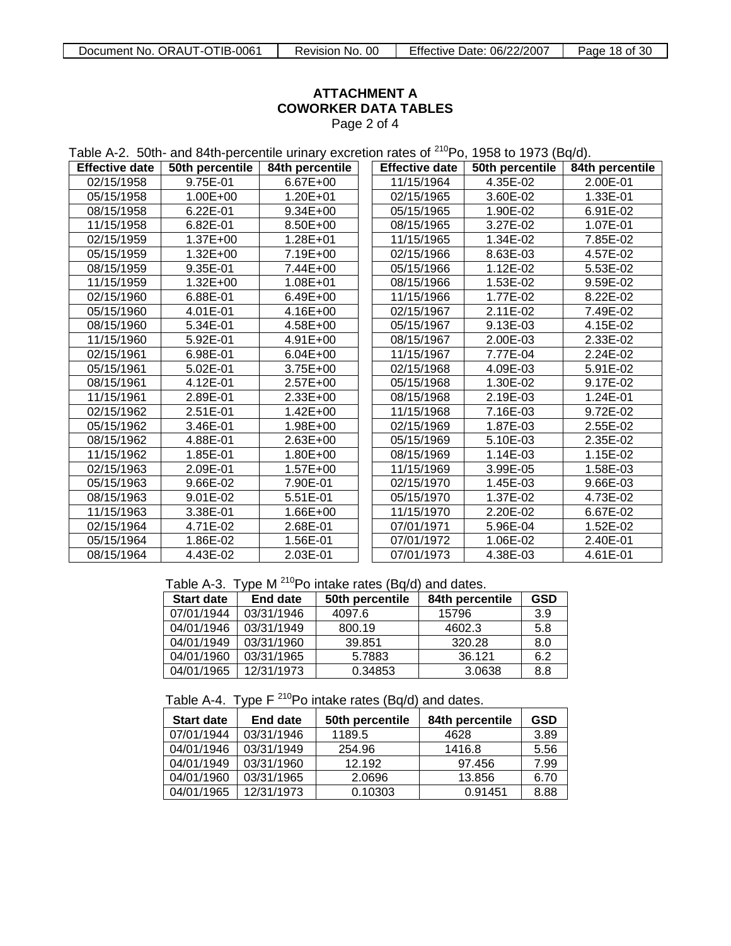### **ATTACHMENT A COWORKER DATA TABLES** Page 2 of 4

Table A-2. 50th- and 84th-percentile urinary excretion rates of <sup>210</sup>Po, 1958 to 1973 (Bq/d).

| <b>Effective date</b> | 50th percentile | 84th percentile | <b>Effective date</b> | 50th percentile | 84th percentile |
|-----------------------|-----------------|-----------------|-----------------------|-----------------|-----------------|
| 02/15/1958            | 9.75E-01        | 6.67E+00        | 11/15/1964            | 4.35E-02        | 2.00E-01        |
| 05/15/1958            | $1.00E + 00$    | 1.20E+01        | 02/15/1965            | 3.60E-02        | 1.33E-01        |
| 08/15/1958            | 6.22E-01        | $9.34E + 00$    | 05/15/1965            | 1.90E-02        | 6.91E-02        |
| 11/15/1958            | 6.82E-01        | 8.50E+00        | 08/15/1965            | 3.27E-02        | 1.07E-01        |
| 02/15/1959            | $1.37E + 00$    | 1.28E+01        | 11/15/1965            | 1.34E-02        | 7.85E-02        |
| 05/15/1959            | 1.32E+00        | 7.19E+00        | 02/15/1966            | 8.63E-03        | 4.57E-02        |
| 08/15/1959            | 9.35E-01        | 7.44E+00        | 05/15/1966            | 1.12E-02        | 5.53E-02        |
| 11/15/1959            | $1.32E + 00$    | 1.08E+01        | 08/15/1966            | 1.53E-02        | 9.59E-02        |
| 02/15/1960            | 6.88E-01        | 6.49E+00        | 11/15/1966            | 1.77E-02        | 8.22E-02        |
| 05/15/1960            | 4.01E-01        | 4.16E+00        | 02/15/1967            | 2.11E-02        | 7.49E-02        |
| 08/15/1960            | 5.34E-01        | 4.58E+00        | 05/15/1967            | 9.13E-03        | 4.15E-02        |
| 11/15/1960            | 5.92E-01        | 4.91E+00        | 08/15/1967            | 2.00E-03        | 2.33E-02        |
| 02/15/1961            | 6.98E-01        | $6.04E + 00$    | 11/15/1967            | 7.77E-04        | 2.24E-02        |
| 05/15/1961            | 5.02E-01        | 3.75E+00        | 02/15/1968            | 4.09E-03        | 5.91E-02        |
| 08/15/1961            | 4.12E-01        | 2.57E+00        | 05/15/1968            | 1.30E-02        | 9.17E-02        |
| 11/15/1961            | 2.89E-01        | 2.33E+00        | 08/15/1968            | 2.19E-03        | 1.24E-01        |
| 02/15/1962            | 2.51E-01        | $1.42E + 00$    | 11/15/1968            | 7.16E-03        | 9.72E-02        |
| 05/15/1962            | 3.46E-01        | 1.98E+00        | 02/15/1969            | 1.87E-03        | 2.55E-02        |
| 08/15/1962            | 4.88E-01        | 2.63E+00        | 05/15/1969            | 5.10E-03        | 2.35E-02        |
| 11/15/1962            | 1.85E-01        | 1.80E+00        | 08/15/1969            | 1.14E-03        | 1.15E-02        |
| 02/15/1963            | 2.09E-01        | $1.57E + 00$    | 11/15/1969            | 3.99E-05        | 1.58E-03        |
| 05/15/1963            | 9.66E-02        | 7.90E-01        | 02/15/1970            | 1.45E-03        | 9.66E-03        |
| 08/15/1963            | 9.01E-02        | 5.51E-01        | 05/15/1970            | 1.37E-02        | 4.73E-02        |
| 11/15/1963            | 3.38E-01        | 1.66E+00        | 11/15/1970            | 2.20E-02        | 6.67E-02        |
| 02/15/1964            | 4.71E-02        | 2.68E-01        | 07/01/1971            | 5.96E-04        | 1.52E-02        |
| 05/15/1964            | 1.86E-02        | 1.56E-01        | 07/01/1972            | 1.06E-02        | 2.40E-01        |
| 08/15/1964            | 4.43E-02        | 2.03E-01        | 07/01/1973            | 4.38E-03        | 4.61E-01        |

Table A-3. Type M  $^{210}$ Po intake rates (Bq/d) and dates.

| <b>Start date</b> | End date   | 50th percentile | 84th percentile | GSD |
|-------------------|------------|-----------------|-----------------|-----|
| 07/01/1944        | 03/31/1946 | 4097.6          | 15796           | 3.9 |
| 04/01/1946        | 03/31/1949 | 800.19          | 4602.3          | 5.8 |
| 04/01/1949        | 03/31/1960 | 39.851          | 320.28          | 8.0 |
| 04/01/1960        | 03/31/1965 | 5.7883          | 36.121          | 6.2 |
| 04/01/1965        | 12/31/1973 | 0.34853         | 3.0638          | 8.8 |

Table A-4. Type  $F^{210}Po$  intake rates (Bq/d) and dates.

| <b>Start date</b> | <b>End date</b> | 50th percentile | 84th percentile | GSD  |
|-------------------|-----------------|-----------------|-----------------|------|
| 07/01/1944        | 03/31/1946      | 1189.5          | 4628            | 3.89 |
| 04/01/1946        | 03/31/1949      | 254.96          | 1416.8          | 5.56 |
| 04/01/1949        | 03/31/1960      | 12.192          | 97.456          | 7.99 |
| 04/01/1960        | 03/31/1965      | 2.0696          | 13.856          | 6.70 |
| 04/01/1965        | 12/31/1973      | 0.10303         | 0.91451         | 8.88 |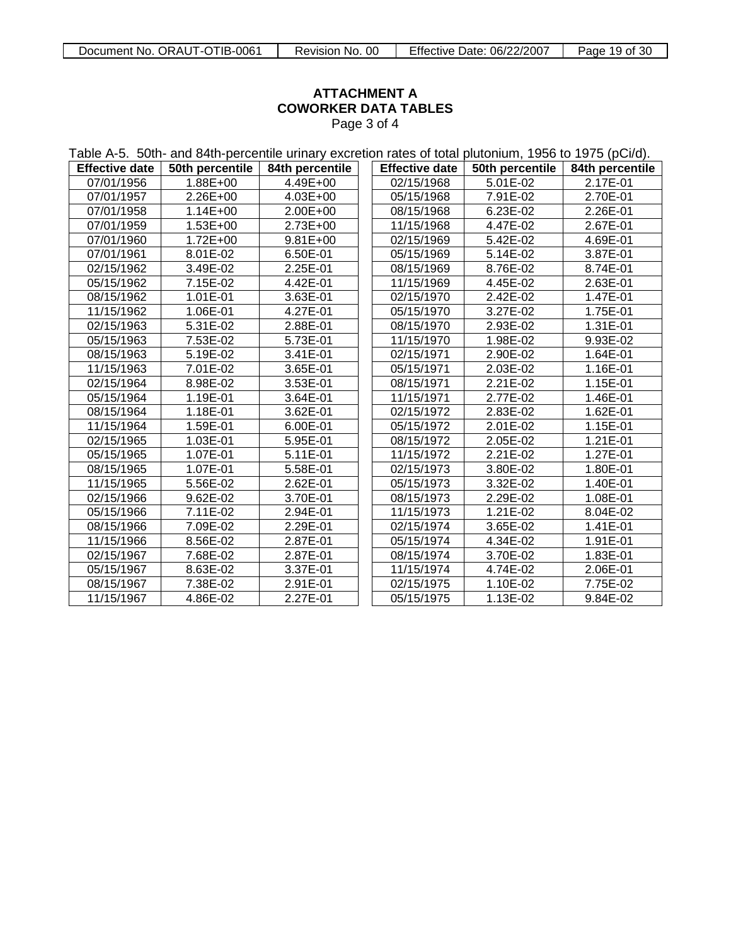### **ATTACHMENT A COWORKER DATA TABLES** Page 3 of 4

| Table A-5. 50th- and 84th-percentile urinary excretion rates of total plutonium, 1956 to 1975 (pCi/d). |                 |                 |  |                       |                 |                 |
|--------------------------------------------------------------------------------------------------------|-----------------|-----------------|--|-----------------------|-----------------|-----------------|
| <b>Effective date</b>                                                                                  | 50th percentile | 84th percentile |  | <b>Effective date</b> | 50th percentile | 84th percentile |
| 07/01/1956                                                                                             | 1.88E+00        | 4.49E+00        |  | 02/15/1968            | 5.01E-02        | 2.17E-01        |
| 07/01/1957                                                                                             | 2.26E+00        | 4.03E+00        |  | 05/15/1968            | 7.91E-02        | 2.70E-01        |
| 07/01/1958                                                                                             | $1.14E + 00$    | 2.00E+00        |  | 08/15/1968            | 6.23E-02        | 2.26E-01        |
| 07/01/1959                                                                                             | 1.53E+00        | 2.73E+00        |  | 11/15/1968            | 4.47E-02        | 2.67E-01        |
| 07/01/1960                                                                                             | $1.72E + 00$    | $9.81E + 00$    |  | 02/15/1969            | 5.42E-02        | 4.69E-01        |
| 07/01/1961                                                                                             | 8.01E-02        | 6.50E-01        |  | 05/15/1969            | 5.14E-02        | 3.87E-01        |
| 02/15/1962                                                                                             | 3.49E-02        | 2.25E-01        |  | 08/15/1969            | 8.76E-02        | 8.74E-01        |
| 05/15/1962                                                                                             | 7.15E-02        | 4.42E-01        |  | 11/15/1969            | 4.45E-02        | 2.63E-01        |
| 08/15/1962                                                                                             | 1.01E-01        | 3.63E-01        |  | 02/15/1970            | 2.42E-02        | 1.47E-01        |
| 11/15/1962                                                                                             | 1.06E-01        | 4.27E-01        |  | 05/15/1970            | 3.27E-02        | 1.75E-01        |
| 02/15/1963                                                                                             | 5.31E-02        | 2.88E-01        |  | 08/15/1970            | 2.93E-02        | 1.31E-01        |
| 05/15/1963                                                                                             | 7.53E-02        | 5.73E-01        |  | 11/15/1970            | 1.98E-02        | 9.93E-02        |
| 08/15/1963                                                                                             | 5.19E-02        | 3.41E-01        |  | 02/15/1971            | 2.90E-02        | 1.64E-01        |
| 11/15/1963                                                                                             | 7.01E-02        | 3.65E-01        |  | 05/15/1971            | 2.03E-02        | 1.16E-01        |
| 02/15/1964                                                                                             | 8.98E-02        | 3.53E-01        |  | 08/15/1971            | 2.21E-02        | 1.15E-01        |
| 05/15/1964                                                                                             | 1.19E-01        | 3.64E-01        |  | 11/15/1971            | 2.77E-02        | 1.46E-01        |
| 08/15/1964                                                                                             | 1.18E-01        | 3.62E-01        |  | 02/15/1972            | 2.83E-02        | 1.62E-01        |
| 11/15/1964                                                                                             | 1.59E-01        | 6.00E-01        |  | 05/15/1972            | 2.01E-02        | 1.15E-01        |
| 02/15/1965                                                                                             | 1.03E-01        | 5.95E-01        |  | 08/15/1972            | 2.05E-02        | 1.21E-01        |
| 05/15/1965                                                                                             | 1.07E-01        | 5.11E-01        |  | 11/15/1972            | 2.21E-02        | 1.27E-01        |
| 08/15/1965                                                                                             | 1.07E-01        | 5.58E-01        |  | 02/15/1973            | 3.80E-02        | 1.80E-01        |
| 11/15/1965                                                                                             | 5.56E-02        | 2.62E-01        |  | 05/15/1973            | 3.32E-02        | 1.40E-01        |
| 02/15/1966                                                                                             | 9.62E-02        | 3.70E-01        |  | 08/15/1973            | 2.29E-02        | 1.08E-01        |
| 05/15/1966                                                                                             | 7.11E-02        | 2.94E-01        |  | 11/15/1973            | 1.21E-02        | 8.04E-02        |
| 08/15/1966                                                                                             | 7.09E-02        | 2.29E-01        |  | 02/15/1974            | 3.65E-02        | 1.41E-01        |
| 11/15/1966                                                                                             | 8.56E-02        | 2.87E-01        |  | 05/15/1974            | 4.34E-02        | 1.91E-01        |
| 02/15/1967                                                                                             | 7.68E-02        | 2.87E-01        |  | 08/15/1974            | 3.70E-02        | 1.83E-01        |
| 05/15/1967                                                                                             | 8.63E-02        | 3.37E-01        |  | 11/15/1974            | 4.74E-02        | 2.06E-01        |
| 08/15/1967                                                                                             | 7.38E-02        | 2.91E-01        |  | 02/15/1975            | 1.10E-02        | 7.75E-02        |
| 11/15/1967                                                                                             | 4.86E-02        | 2.27E-01        |  | 05/15/1975            | 1.13E-02        | 9.84E-02        |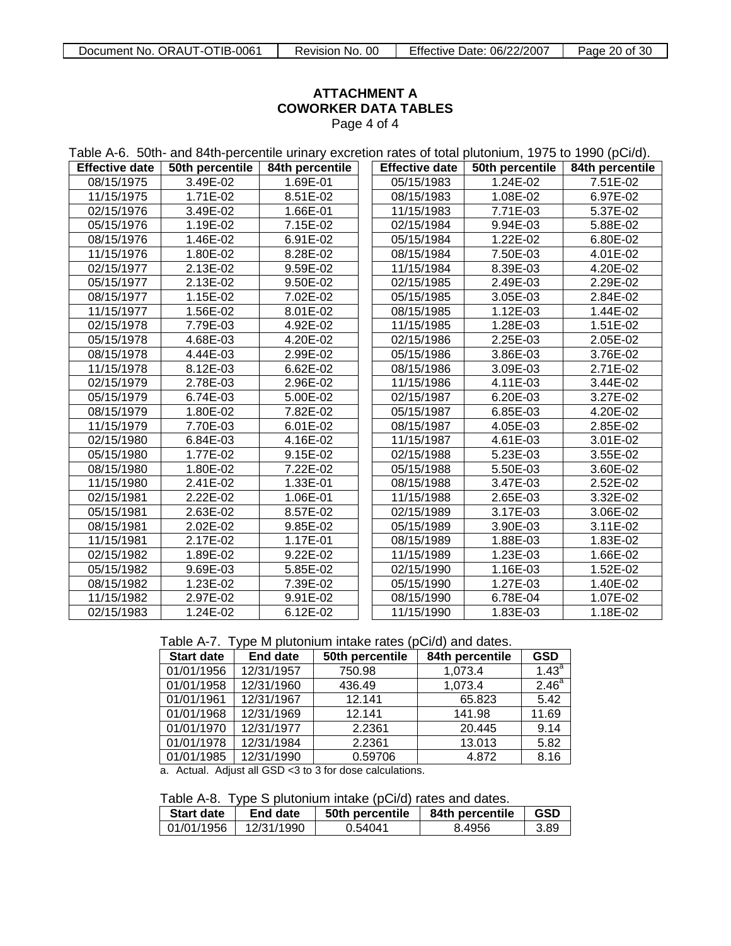### **ATTACHMENT A COWORKER DATA TABLES** Page 4 of 4

| Table A-6. 50th- and 84th-percentile urinary excretion rates of total plutonium, 1975 to 1990 (pCi/d). |                         |                 |  |                       |                 |                 |
|--------------------------------------------------------------------------------------------------------|-------------------------|-----------------|--|-----------------------|-----------------|-----------------|
| <b>Effective date</b>                                                                                  | 50th percentile         | 84th percentile |  | <b>Effective date</b> | 50th percentile | 84th percentile |
| 08/15/1975                                                                                             | 3.49E-02                | 1.69E-01        |  | 05/15/1983            | 1.24E-02        | 7.51E-02        |
| 11/15/1975                                                                                             | 1.71E-02                | 8.51E-02        |  | 08/15/1983            | 1.08E-02        | 6.97E-02        |
| 02/15/1976                                                                                             | 3.49E-02                | 1.66E-01        |  | 11/15/1983            | 7.71E-03        | 5.37E-02        |
| 05/15/1976                                                                                             | 1.19E-02                | 7.15E-02        |  | 02/15/1984            | 9.94E-03        | 5.88E-02        |
| 08/15/1976                                                                                             | 1.46E-02                | 6.91E-02        |  | 05/15/1984            | 1.22E-02        | 6.80E-02        |
| 11/15/1976                                                                                             | 1.80E-02                | 8.28E-02        |  | 08/15/1984            | 7.50E-03        | $4.01E-02$      |
| 02/15/1977                                                                                             | 2.13E-02                | 9.59E-02        |  | 11/15/1984            | 8.39E-03        | 4.20E-02        |
| 05/15/1977                                                                                             | 2.13E-02                | 9.50E-02        |  | 02/15/1985            | 2.49E-03        | 2.29E-02        |
| 08/15/1977                                                                                             | $\overline{1.15}E - 02$ | 7.02E-02        |  | 05/15/1985            | 3.05E-03        | 2.84E-02        |
| 11/15/1977                                                                                             | 1.56E-02                | 8.01E-02        |  | 08/15/1985            | 1.12E-03        | 1.44E-02        |
| 02/15/1978                                                                                             | 7.79E-03                | 4.92E-02        |  | 11/15/1985            | 1.28E-03        | 1.51E-02        |
| 05/15/1978                                                                                             | 4.68E-03                | 4.20E-02        |  | 02/15/1986            | 2.25E-03        | 2.05E-02        |
| 08/15/1978                                                                                             | 4.44E-03                | 2.99E-02        |  | 05/15/1986            | 3.86E-03        | 3.76E-02        |
| 11/15/1978                                                                                             | 8.12E-03                | 6.62E-02        |  | 08/15/1986            | 3.09E-03        | 2.71E-02        |
| 02/15/1979                                                                                             | 2.78E-03                | 2.96E-02        |  | 11/15/1986            | 4.11E-03        | 3.44E-02        |
| 05/15/1979                                                                                             | 6.74E-03                | 5.00E-02        |  | 02/15/1987            | 6.20E-03        | 3.27E-02        |
| 08/15/1979                                                                                             | 1.80E-02                | 7.82E-02        |  | 05/15/1987            | 6.85E-03        | 4.20E-02        |
| 11/15/1979                                                                                             | 7.70E-03                | 6.01E-02        |  | 08/15/1987            | 4.05E-03        | 2.85E-02        |
| 02/15/1980                                                                                             | 6.84E-03                | 4.16E-02        |  | 11/15/1987            | 4.61E-03        | 3.01E-02        |
| 05/15/1980                                                                                             | $\overline{1.77}E - 02$ | 9.15E-02        |  | 02/15/1988            | 5.23E-03        | 3.55E-02        |
| 08/15/1980                                                                                             | 1.80E-02                | 7.22E-02        |  | 05/15/1988            | 5.50E-03        | 3.60E-02        |
| 11/15/1980                                                                                             | 2.41E-02                | 1.33E-01        |  | 08/15/1988            | 3.47E-03        | 2.52E-02        |
| 02/15/1981                                                                                             | 2.22E-02                | 1.06E-01        |  | 11/15/1988            | 2.65E-03        | 3.32E-02        |
| 05/15/1981                                                                                             | 2.63E-02                | $8.57E-02$      |  | 02/15/1989            | 3.17E-03        | 3.06E-02        |
| 08/15/1981                                                                                             | 2.02E-02                | 9.85E-02        |  | 05/15/1989            | 3.90E-03        | 3.11E-02        |
| 11/15/1981                                                                                             | 2.17E-02                | 1.17E-01        |  | 08/15/1989            | 1.88E-03        | 1.83E-02        |
| 02/15/1982                                                                                             | 1.89E-02                | 9.22E-02        |  | 11/15/1989            | 1.23E-03        | 1.66E-02        |
| 05/15/1982                                                                                             | 9.69E-03                | 5.85E-02        |  | 02/15/1990            | 1.16E-03        | 1.52E-02        |
| 08/15/1982                                                                                             | 1.23E-02                | 7.39E-02        |  | 05/15/1990            | 1.27E-03        | 1.40E-02        |
| 11/15/1982                                                                                             | 2.97E-02                | 9.91E-02        |  | 08/15/1990            | 6.78E-04        | 1.07E-02        |
| 02/15/1983                                                                                             | 1.24E-02                | 6.12E-02        |  | 11/15/1990            | 1.83E-03        | 1.18E-02        |

Table A-7. Type M plutonium intake rates (pCi/d) and dates.

| <b>Start date</b> | <b>End date</b> | 50th percentile | 84th percentile | <b>GSD</b>        |
|-------------------|-----------------|-----------------|-----------------|-------------------|
| 01/01/1956        | 12/31/1957      | 750.98          | 1,073.4         | $1.43^{\circ}$    |
| 01/01/1958        | 12/31/1960      | 436.49          | 1,073.4         | 2.46 <sup>a</sup> |
| 01/01/1961        | 12/31/1967      | 12.141          | 65.823          | 5.42              |
| 01/01/1968        | 12/31/1969      | 12.141          | 141.98          | 11.69             |
| 01/01/1970        | 12/31/1977      | 2.2361          | 20.445          | 9.14              |
| 01/01/1978        | 12/31/1984      | 2.2361          | 13.013          | 5.82              |
| 01/01/1985        | 12/31/1990      | 0.59706         | 4.872           | 8.16              |

a. Actual. Adjust all GSD <3 to 3 for dose calculations.

Table A-8. Type S plutonium intake (pCi/d) rates and dates.

| $\frac{1}{2}$ and $\frac{1}{2}$ . The contract is interested to the contract of $\frac{1}{2}$ |                             |         |                 |       |  |  |  |
|-----------------------------------------------------------------------------------------------|-----------------------------|---------|-----------------|-------|--|--|--|
| Start date                                                                                    | 50th percentile<br>End date |         | 84th percentile | l GSD |  |  |  |
| 01/01/1956   12/31/1990                                                                       |                             | 0.54041 | 8.4956          | -3.89 |  |  |  |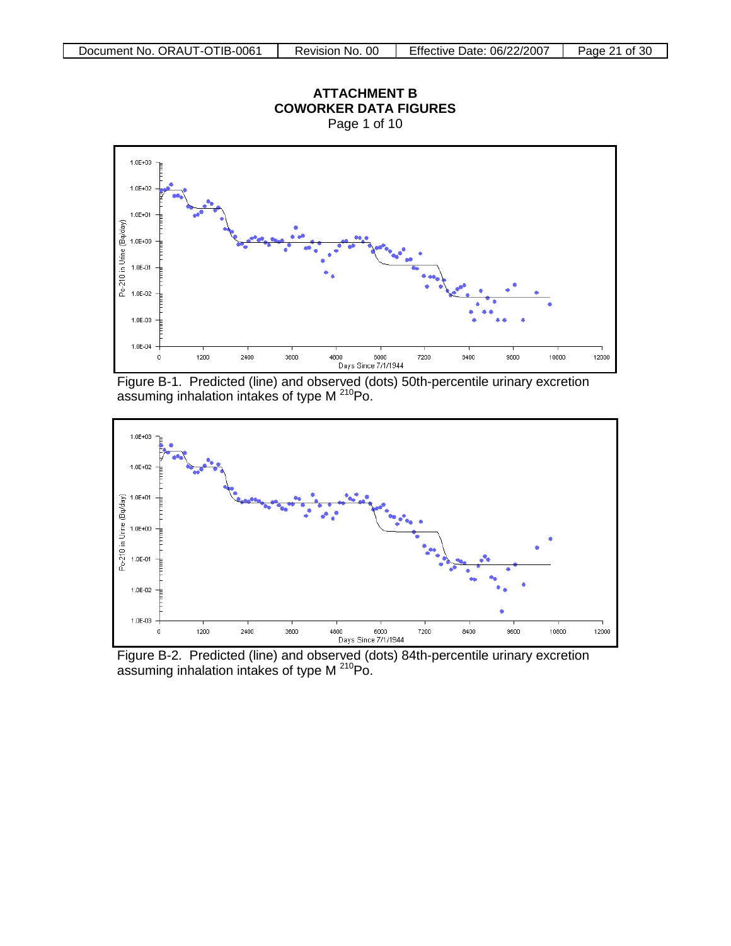

<span id="page-20-0"></span>Figure B-1. Predicted (line) and observed (dots) 50th-percentile urinary excretion assuming inhalation intakes of type M<sup>210</sup>Po.



Figure B-2. Predicted (line) and observed (dots) 84th-percentile urinary excretion assuming inhalation intakes of type M 210Po.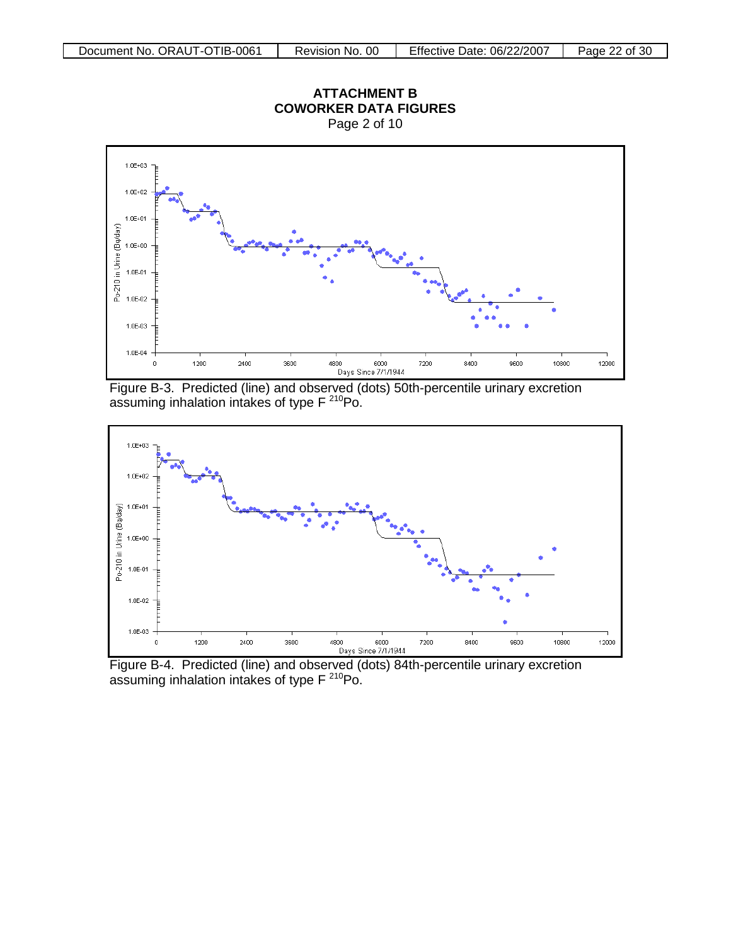

Figure B-3. Predicted (line) and observed (dots) 50th-percentile urinary excretion assuming inhalation intakes of type  $F^{210}$ Po.



Figure B-4. Predicted (line) and observed (dots) 84th-percentile urinary excretion assuming inhalation intakes of type  $F^{210}$ Po.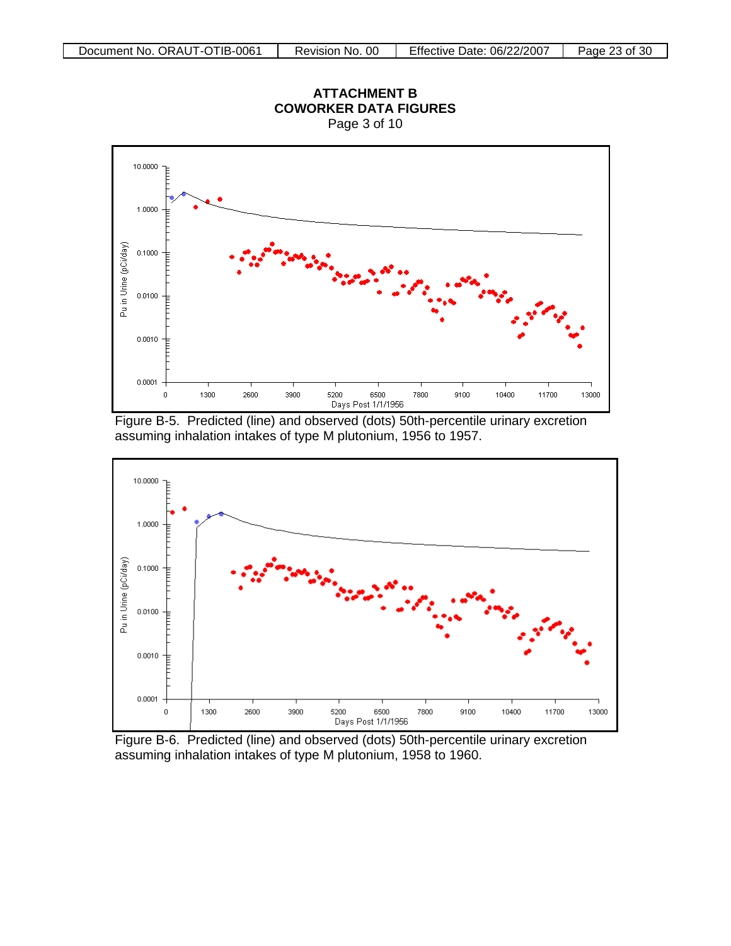

Figure B-5. Predicted (line) and observed (dots) 50th-percentile urinary excretion assuming inhalation intakes of type M plutonium, 1956 to 1957.



Figure B-6. Predicted (line) and observed (dots) 50th-percentile urinary excretion assuming inhalation intakes of type M plutonium, 1958 to 1960.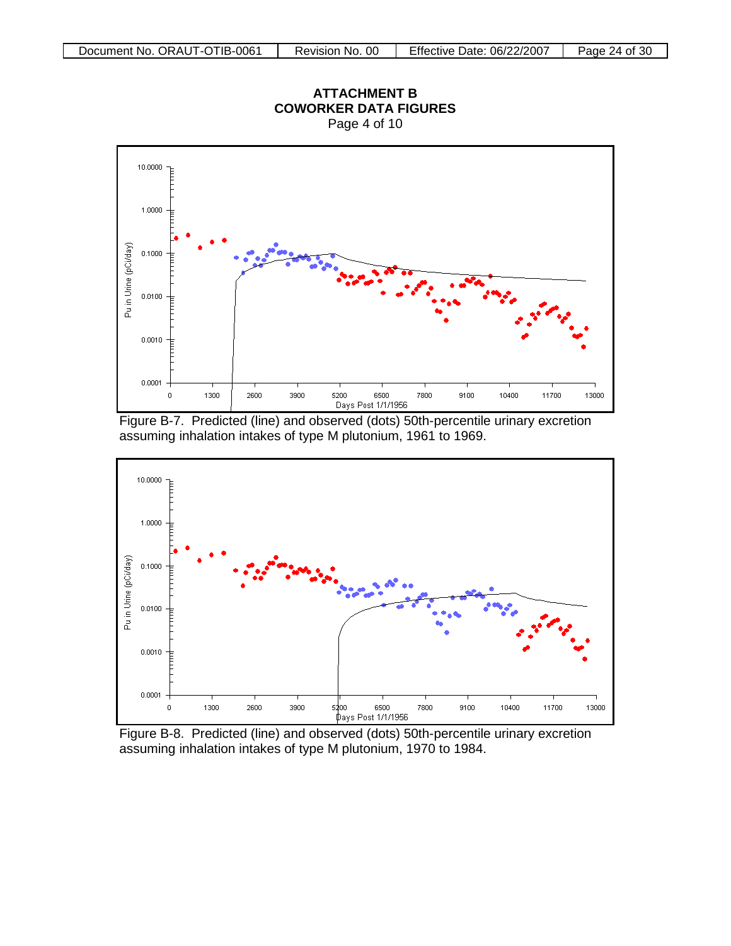

Figure B-7. Predicted (line) and observed (dots) 50th-percentile urinary excretion assuming inhalation intakes of type M plutonium, 1961 to 1969.



Figure B-8. Predicted (line) and observed (dots) 50th-percentile urinary excretion assuming inhalation intakes of type M plutonium, 1970 to 1984.

### **ATTACHMENT B COWORKER DATA FIGURES** Page 4 of 10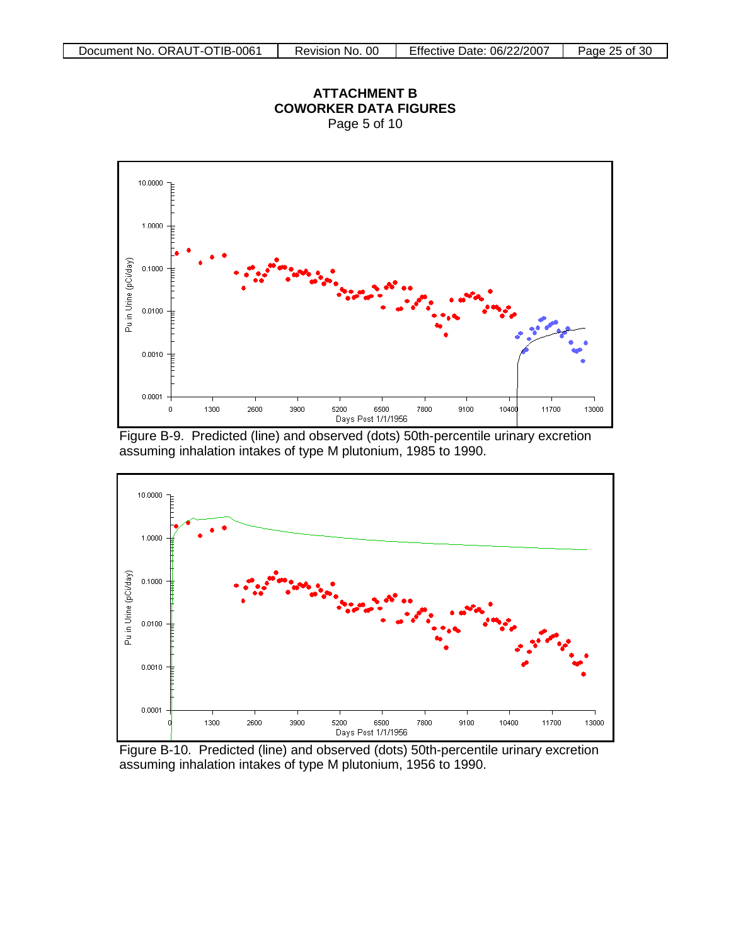

Figure B-9. Predicted (line) and observed (dots) 50th-percentile urinary excretion assuming inhalation intakes of type M plutonium, 1985 to 1990.



Figure B-10. Predicted (line) and observed (dots) 50th-percentile urinary excretion assuming inhalation intakes of type M plutonium, 1956 to 1990.

**ATTACHMENT B COWORKER DATA FIGURES**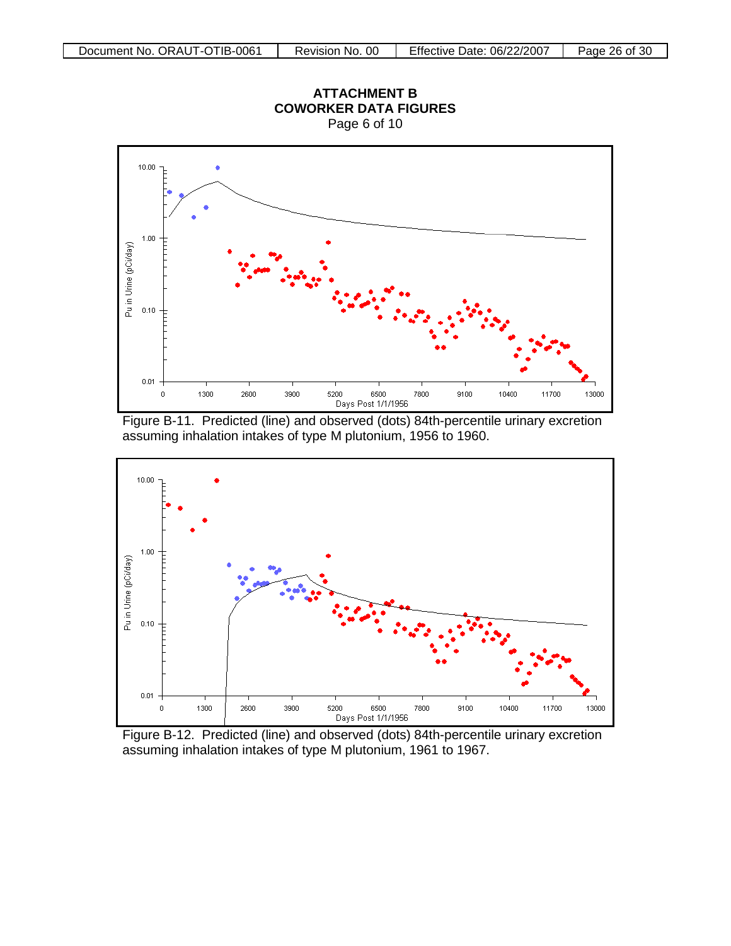

Figure B-11. Predicted (line) and observed (dots) 84th-percentile urinary excretion assuming inhalation intakes of type M plutonium, 1956 to 1960.



Figure B-12. Predicted (line) and observed (dots) 84th-percentile urinary excretion assuming inhalation intakes of type M plutonium, 1961 to 1967.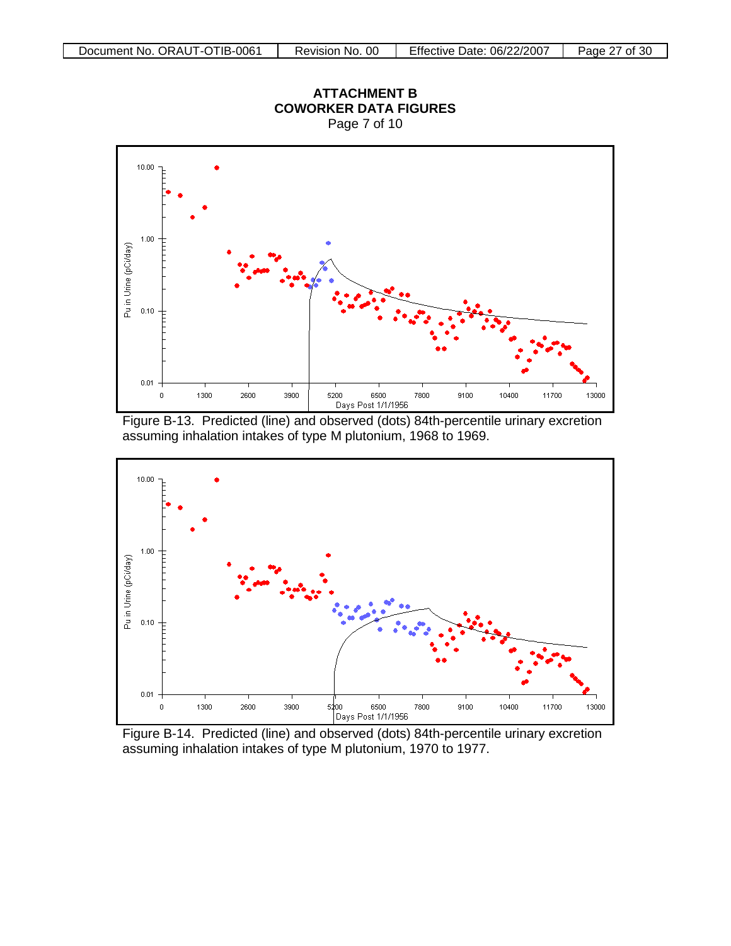

Figure B-13. Predicted (line) and observed (dots) 84th-percentile urinary excretion assuming inhalation intakes of type M plutonium, 1968 to 1969.



assuming inhalation intakes of type M plutonium, 1970 to 1977.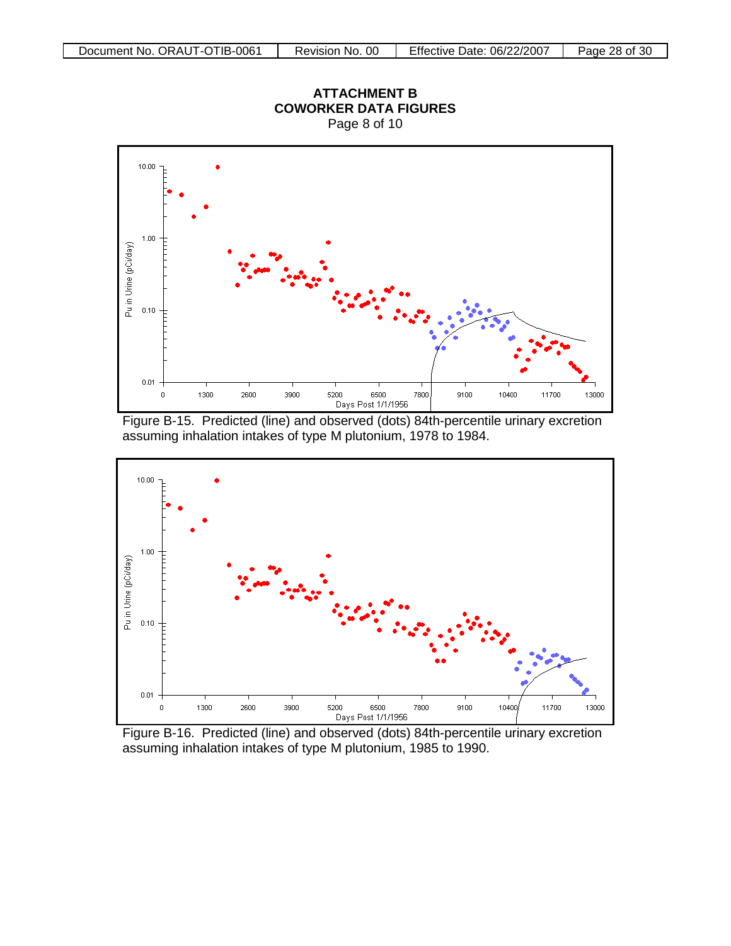





Figure B-16. Predicted (line) and observed (dots) 84th-percentile urinary excretion assuming inhalation intakes of type M plutonium, 1985 to 1990.

# **ATTACHMENT B COWORKER DATA FIGURES**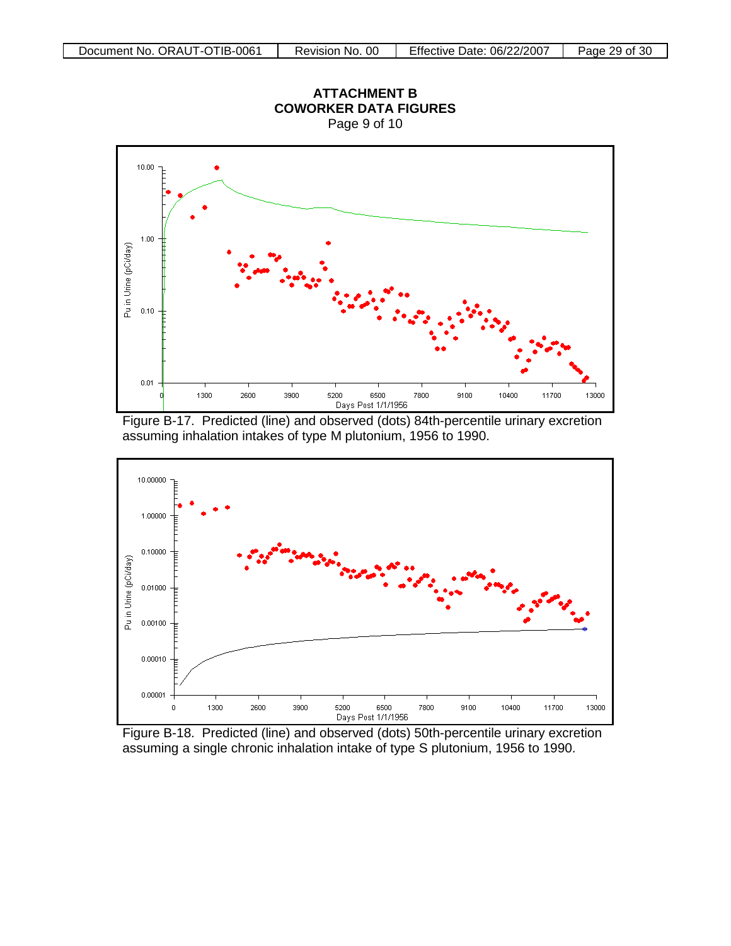





Figure B-18. Predicted (line) and observed (dots) 50th-percentile urinary excretion assuming a single chronic inhalation intake of type S plutonium, 1956 to 1990.